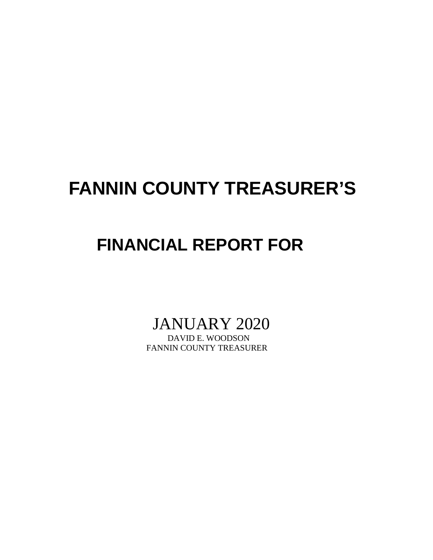# **FANNIN COUNTY TREASURER'S**

# **FINANCIAL REPORT FOR**

JANUARY 2020

FANNIN COUNTY TREASURER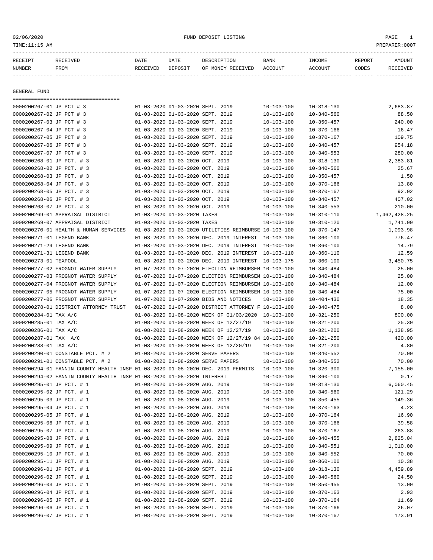### 02/06/2020 FUND DEPOSIT LISTING PAGE 1

| RECEIPT<br>NUMBER         | ------------------------------<br>RECEIVED<br>FROM                              | DATE<br>RECEIVED | DATE<br>DEPOSIT                  | DESCRIPTION<br>OF MONEY RECEIVED                     | BANK<br>ACCOUNT  | INCOME<br>ACCOUNT | REPORT<br>CODES | AMOUNT<br>RECEIVED |
|---------------------------|---------------------------------------------------------------------------------|------------------|----------------------------------|------------------------------------------------------|------------------|-------------------|-----------------|--------------------|
| GENERAL FUND              |                                                                                 |                  |                                  |                                                      |                  |                   |                 |                    |
| 0000200267-01 JP PCT # 3  | ======================================                                          |                  | 01-03-2020 01-03-2020 SEPT. 2019 |                                                      | $10 - 103 - 100$ | 10-318-130        |                 | 2,683.87           |
| 0000200267-02 JP PCT # 3  |                                                                                 |                  | 01-03-2020 01-03-2020 SEPT. 2019 |                                                      | $10 - 103 - 100$ | $10 - 340 - 560$  |                 | 88.50              |
| 0000200267-03 JP PCT # 3  |                                                                                 |                  | 01-03-2020 01-03-2020 SEPT. 2019 |                                                      | $10 - 103 - 100$ | $10 - 350 - 457$  |                 | 240.00             |
| 0000200267-04 JP PCT # 3  |                                                                                 |                  | 01-03-2020 01-03-2020 SEPT. 2019 |                                                      | $10 - 103 - 100$ | $10 - 370 - 166$  |                 | 16.47              |
| 0000200267-05 JP PCT # 3  |                                                                                 |                  | 01-03-2020 01-03-2020 SEPT. 2019 |                                                      | $10 - 103 - 100$ | $10 - 370 - 167$  |                 | 109.75             |
| 0000200267-06 JP PCT # 3  |                                                                                 |                  | 01-03-2020 01-03-2020 SEPT. 2019 |                                                      | $10 - 103 - 100$ | $10 - 340 - 457$  |                 | 954.18             |
| 0000200267-07 JP PCT # 3  |                                                                                 |                  | 01-03-2020 01-03-2020 SEPT. 2019 |                                                      | $10 - 103 - 100$ | $10 - 340 - 553$  |                 | 280.00             |
| 0000200268-01 JP PCT. # 3 |                                                                                 |                  | 01-03-2020 01-03-2020 OCT. 2019  |                                                      | $10 - 103 - 100$ | $10 - 318 - 130$  |                 | 2,383.81           |
| 0000200268-02 JP PCT. # 3 |                                                                                 |                  | 01-03-2020 01-03-2020 OCT. 2019  |                                                      | $10 - 103 - 100$ | $10 - 340 - 560$  |                 | 25.67              |
| 0000200268-03 JP PCT. # 3 |                                                                                 |                  | 01-03-2020 01-03-2020 OCT. 2019  |                                                      | $10 - 103 - 100$ | $10 - 350 - 457$  |                 | 1.50               |
| 0000200268-04 JP PCT. # 3 |                                                                                 |                  | 01-03-2020 01-03-2020 OCT. 2019  |                                                      | $10 - 103 - 100$ | $10 - 370 - 166$  |                 | 13.80              |
| 0000200268-05 JP PCT. # 3 |                                                                                 |                  | 01-03-2020 01-03-2020 OCT. 2019  |                                                      | $10 - 103 - 100$ | $10 - 370 - 167$  |                 | 92.02              |
| 0000200268-06 JP PCT. # 3 |                                                                                 |                  | 01-03-2020 01-03-2020 OCT. 2019  |                                                      | $10 - 103 - 100$ | $10 - 340 - 457$  |                 | 407.02             |
| 0000200268-07 JP PCT. # 3 |                                                                                 |                  | 01-03-2020 01-03-2020 OCT. 2019  |                                                      | 10-103-100       | $10 - 340 - 553$  |                 | 210.00             |
|                           | 0000200269-01 APPRAISAL DISTRICT                                                |                  | 01-03-2020 01-03-2020 TAXES      |                                                      | $10 - 103 - 100$ | $10 - 310 - 110$  |                 | 1,462,428.25       |
|                           | 0000200269-07 APPRAISAL DISTRICT                                                |                  | 01-03-2020 01-03-2020 TAXES      |                                                      | $10 - 103 - 100$ | $10 - 310 - 120$  |                 | 1,741.00           |
|                           | 0000200270-01 HEALTH & HUMAN SERVICES                                           |                  |                                  | 01-03-2020 01-03-2020 UTILITIES REIMBURSE 10-103-100 |                  | $10 - 370 - 147$  |                 | 1,093.98           |
| 0000200271-01 LEGEND BANK |                                                                                 |                  |                                  | 01-03-2020 01-03-2020 DEC. 2019 INTEREST 10-103-100  |                  | $10 - 360 - 100$  |                 | 776.47             |
| 0000200271-29 LEGEND BANK |                                                                                 |                  |                                  | 01-03-2020 01-03-2020 DEC. 2019 INTEREST 10-100-100  |                  | $10 - 360 - 100$  |                 | 14.79              |
| 0000200271-31 LEGEND BANK |                                                                                 |                  |                                  | 01-03-2020 01-03-2020 DEC. 2019 INTEREST 10-103-110  |                  | $10 - 360 - 110$  |                 | 12.59              |
| 0000200273-01 TEXPOOL     |                                                                                 |                  |                                  | 01-03-2020 01-03-2020 DEC. 2019 INTEREST             | 10-103-175       | $10 - 360 - 100$  |                 | 3,450.75           |
|                           | 0000200277-02 FROGNOT WATER SUPPLY                                              |                  |                                  | 01-07-2020 01-07-2020 ELECTION REIMBURSEM 10-103-100 |                  | $10 - 340 - 484$  |                 | 25.00              |
|                           | 0000200277-03 FROGNOT WATER SUPPLY                                              |                  |                                  | 01-07-2020 01-07-2020 ELECTION REIMBURSEM 10-103-100 |                  | 10-340-484        |                 | 25.00              |
|                           | 0000200277-04 FROGNOT WATER SUPPLY                                              |                  |                                  | 01-07-2020 01-07-2020 ELECTION REIMBURSEM 10-103-100 |                  | $10 - 340 - 484$  |                 | 12.00              |
|                           | 0000200277-05 FROGNOT WATER SUPPLY                                              |                  |                                  | 01-07-2020 01-07-2020 ELECTION REIMBURSEM 10-103-100 |                  | $10 - 340 - 484$  |                 | 75.00              |
|                           | 0000200277-06 FROGNOT WATER SUPPLY                                              |                  |                                  | 01-07-2020 01-07-2020 BIDS AND NOTICES               | 10-103-100       | $10 - 404 - 430$  |                 | 18.35              |
|                           | 0000200278-01 DISTRICT ATTORNEY TRUST                                           |                  |                                  | 01-07-2020 01-07-2020 DISTRICT ATTORNEY F 10-103-100 |                  | $10 - 340 - 475$  |                 | 8.00               |
| 0000200284-01 TAX A/C     |                                                                                 |                  |                                  | 01-08-2020 01-08-2020 WEEK OF 01/03/2020 10-103-100  |                  | $10 - 321 - 250$  |                 | 800.00             |
| 0000200285-01 TAX A/C     |                                                                                 |                  |                                  | 01-08-2020 01-08-2020 WEEK OF 12/27/19               | 10-103-100       | 10-321-200        |                 | 25.30              |
| 0000200286-01 TAX A/C     |                                                                                 |                  |                                  | 01-08-2020 01-08-2020 WEEK OF 12/27/19               | 10-103-100       | $10 - 321 - 200$  |                 | 1,138.95           |
| 0000200287-01 TAX A/C     |                                                                                 |                  |                                  | 01-08-2020 01-08-2020 WEEK OF 12/27/19 84 10-103-100 |                  | $10 - 321 - 250$  |                 | 420.00             |
| 0000200288-01 TAX A/C     |                                                                                 |                  |                                  | 01-08-2020 01-08-2020 WEEK OF 12/20/19               | 10-103-100       | $10 - 321 - 200$  |                 | 4.80               |
|                           | 0000200290-01 CONSTABLE PCT. # 2                                                |                  |                                  | 01-08-2020 01-08-2020 SERVE PAPERS                   | $10 - 103 - 100$ | $10 - 340 - 552$  |                 | 70.00              |
|                           | 0000200291-01 CONSTABLE PCT. # 2                                                |                  |                                  | 01-08-2020 01-08-2020 SERVE PAPERS                   | $10 - 103 - 100$ | $10 - 340 - 552$  |                 | 70.00              |
|                           | 0000200294-01 FANNIN COUNTY HEALTH INSP 01-08-2020 01-08-2020 DEC. 2019 PERMITS |                  |                                  |                                                      | $10 - 103 - 100$ | $10 - 320 - 300$  |                 | 7,155.00           |
|                           | 0000200294-02 FANNIN COUNTY HEALTH INSP 01-08-2020 01-08-2020 INTEREST          |                  |                                  |                                                      | $10 - 103 - 100$ | $10 - 360 - 100$  |                 | 0.17               |
| 0000200295-01 JP PCT. # 1 |                                                                                 |                  | 01-08-2020 01-08-2020 AUG. 2019  |                                                      | $10 - 103 - 100$ | $10 - 318 - 130$  |                 | 6,060.45           |
| 0000200295-02 JP PCT. # 1 |                                                                                 |                  | 01-08-2020 01-08-2020 AUG. 2019  |                                                      | $10 - 103 - 100$ | $10 - 340 - 560$  |                 | 121.29             |
| 0000200295-03 JP PCT. # 1 |                                                                                 |                  | 01-08-2020 01-08-2020 AUG. 2019  |                                                      | $10 - 103 - 100$ | $10 - 350 - 455$  |                 | 149.36             |
| 0000200295-04 JP PCT. # 1 |                                                                                 |                  | 01-08-2020 01-08-2020 AUG. 2019  |                                                      | $10 - 103 - 100$ | $10 - 370 - 163$  |                 | 4.23               |
| 0000200295-05 JP PCT. # 1 |                                                                                 |                  | 01-08-2020 01-08-2020 AUG. 2019  |                                                      | $10 - 103 - 100$ | $10 - 370 - 164$  |                 | 16.90              |
| 0000200295-06 JP PCT. # 1 |                                                                                 |                  | 01-08-2020 01-08-2020 AUG. 2019  |                                                      | $10 - 103 - 100$ | $10 - 370 - 166$  |                 | 39.58              |
| 0000200295-07 JP PCT. # 1 |                                                                                 |                  | 01-08-2020 01-08-2020 AUG. 2019  |                                                      | $10 - 103 - 100$ | $10 - 370 - 167$  |                 | 263.88             |
| 0000200295-08 JP PCT. # 1 |                                                                                 |                  | 01-08-2020 01-08-2020 AUG. 2019  |                                                      | $10 - 103 - 100$ | $10 - 340 - 455$  |                 | 2,825.04           |
| 0000200295-09 JP PCT. # 1 |                                                                                 |                  | 01-08-2020 01-08-2020 AUG. 2019  |                                                      | $10 - 103 - 100$ | $10 - 340 - 551$  |                 | 1,010.00           |
| 0000200295-10 JP PCT. # 1 |                                                                                 |                  | 01-08-2020 01-08-2020 AUG. 2019  |                                                      | $10 - 103 - 100$ | $10 - 340 - 552$  |                 | 70.00              |
| 0000200295-11 JP PCT. # 1 |                                                                                 |                  | 01-08-2020 01-08-2020 AUG. 2019  |                                                      | $10 - 103 - 100$ | $10 - 360 - 100$  |                 | 10.38              |
| 0000200296-01 JP PCT. # 1 |                                                                                 |                  | 01-08-2020 01-08-2020 SEPT. 2019 |                                                      | $10 - 103 - 100$ | $10 - 318 - 130$  |                 | 4,459.89           |
| 0000200296-02 JP PCT. # 1 |                                                                                 |                  | 01-08-2020 01-08-2020 SEPT. 2019 |                                                      | $10 - 103 - 100$ | $10 - 340 - 560$  |                 | 24.50              |
| 0000200296-03 JP PCT. # 1 |                                                                                 |                  | 01-08-2020 01-08-2020 SEPT. 2019 |                                                      | $10 - 103 - 100$ | $10 - 350 - 455$  |                 | 13.00              |
| 0000200296-04 JP PCT. # 1 |                                                                                 |                  | 01-08-2020 01-08-2020 SEPT. 2019 |                                                      | $10 - 103 - 100$ | $10 - 370 - 163$  |                 | 2.93               |
| 0000200296-05 JP PCT. # 1 |                                                                                 |                  | 01-08-2020 01-08-2020 SEPT. 2019 |                                                      | $10 - 103 - 100$ | $10 - 370 - 164$  |                 | 11.69              |
| 0000200296-06 JP PCT. # 1 |                                                                                 |                  | 01-08-2020 01-08-2020 SEPT. 2019 |                                                      | $10 - 103 - 100$ | $10 - 370 - 166$  |                 | 26.07              |
| 0000200296-07 JP PCT. # 1 |                                                                                 |                  | 01-08-2020 01-08-2020 SEPT. 2019 |                                                      | $10 - 103 - 100$ | $10 - 370 - 167$  |                 | 173.91             |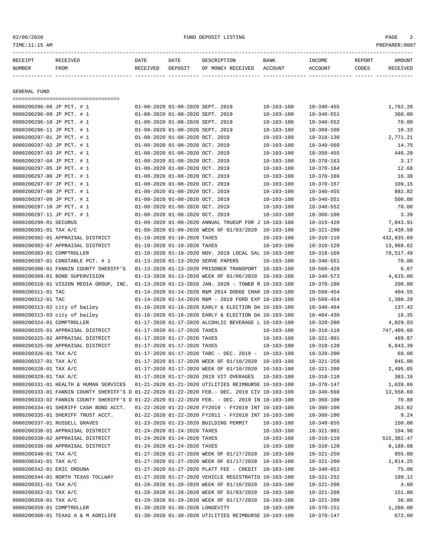| RECEIVED | DATE                                                                                                             | DATE    | DESCRIPTION       | BANK                                                                                                                                         | INCOME           | REPORT | AMOUNT   |
|----------|------------------------------------------------------------------------------------------------------------------|---------|-------------------|----------------------------------------------------------------------------------------------------------------------------------------------|------------------|--------|----------|
| FROM     | RECEIVED                                                                                                         | DEPOSIT | OF MONEY RECEIVED | ACCOUNT                                                                                                                                      | ACCOUNT          | CODES  | RECEIVED |
|          |                                                                                                                  |         |                   |                                                                                                                                              |                  |        |          |
|          |                                                                                                                  |         |                   |                                                                                                                                              |                  |        |          |
|          |                                                                                                                  |         |                   |                                                                                                                                              |                  |        |          |
|          |                                                                                                                  |         |                   |                                                                                                                                              |                  |        |          |
|          |                                                                                                                  |         |                   | $10 - 103 - 100$                                                                                                                             | $10 - 340 - 455$ |        | 1,762.28 |
|          |                                                                                                                  |         |                   | $10 - 103 - 100$                                                                                                                             | $10 - 340 - 551$ |        | 360.00   |
|          |                                                                                                                  |         |                   | $10 - 103 - 100$                                                                                                                             | $10 - 340 - 552$ |        | 70.00    |
|          |                                                                                                                  |         |                   | $10 - 103 - 100$                                                                                                                             | $10 - 360 - 100$ |        | 10.33    |
|          | 0000200296-08 JP PCT. # 1<br>0000200296-09 JP PCT. # 1<br>0000200296-10 JP PCT. # 1<br>0000200296-11 JP PCT. # 1 |         |                   | 01-08-2020 01-08-2020 SEPT. 2019<br>01-08-2020 01-08-2020 SEPT. 2019<br>01-08-2020 01-08-2020 SEPT. 2019<br>01-08-2020 01-08-2020 SEPT. 2019 |                  |        |          |

| 0000S00SA0-TT OR BCI' # T                                                                    |                             | 01-08-2020 01-08-2020 SEPT. 2019 |                                                            | $10 - 103 - 100$       | $10 - 300 - 100$                     | 10.33       |
|----------------------------------------------------------------------------------------------|-----------------------------|----------------------------------|------------------------------------------------------------|------------------------|--------------------------------------|-------------|
| 0000200297-01 JP PCT. # 1                                                                    |                             | 01-08-2020 01-08-2020 OCT. 2019  |                                                            | $10 - 103 - 100$       | $10 - 318 - 130$                     | 2,771.21    |
| 0000200297-02 JP PCT. # 1                                                                    |                             | 01-08-2020 01-08-2020 OCT. 2019  |                                                            | $10 - 103 - 100$       | $10 - 340 - 560$                     | 14.75       |
| 0000200297-03 JP PCT. # 1                                                                    |                             | 01-08-2020 01-08-2020 OCT. 2019  |                                                            | 10-103-100             | $10 - 350 - 455$                     | 446.20      |
| 0000200297-04 JP PCT. # 1                                                                    |                             | 01-08-2020 01-08-2020 OCT. 2019  |                                                            | $10 - 103 - 100$       | $10 - 370 - 163$                     | 3.17        |
| 0000200297-05 JP PCT. # 1                                                                    |                             | 01-08-2020 01-08-2020 OCT, 2019  |                                                            | $10 - 103 - 100$       | $10 - 370 - 164$                     | 12.68       |
| 0000200297-06 JP PCT. # 1                                                                    |                             | 01-08-2020 01-08-2020 OCT. 2019  |                                                            | $10 - 103 - 100$       | $10 - 370 - 166$                     | 16.38       |
| 0000200297-07 JP PCT. # 1                                                                    |                             | 01-08-2020 01-08-2020 OCT. 2019  |                                                            | $10 - 103 - 100$       | $10 - 370 - 167$                     | 109.15      |
| 0000200297-08 JP PCT. # 1                                                                    |                             | 01-08-2020 01-08-2020 OCT. 2019  |                                                            | $10 - 103 - 100$       | $10 - 340 - 455$                     | 882.82      |
| 0000200297-09 JP PCT. # 1                                                                    |                             | 01-08-2020 01-08-2020 OCT. 2019  |                                                            | $10 - 103 - 100$       | $10 - 340 - 551$                     | 500.00      |
| 0000200297-10 JP PCT. # 1                                                                    |                             | 01-08-2020 01-08-2020 OCT. 2019  |                                                            | $10 - 103 - 100$       | $10 - 340 - 552$                     | 70.00       |
| 0000200297-11 JP PCT. # 1                                                                    |                             | 01-08-2020 01-08-2020 OCT. 2019  |                                                            | $10 - 103 - 100$       | $10 - 360 - 100$                     | 3.39        |
| 0000200299-01 SECURUS                                                                        |                             |                                  | 01-09-2020 01-09-2020 ANNUAL TRUEUP FOR J 10-103-100       |                        | $10 - 319 - 420$                     | 7,843.91    |
| 0000200301-01 TAX A/C                                                                        |                             |                                  | 01-09-2020 01-09-2020 WEEK OF 01/03/2020 10-103-100        |                        | $10 - 321 - 200$                     | 2,430.50    |
| 0000200302-01 APPRAISAL DISTRICT                                                             |                             | 01-10-2020 01-10-2020 TAXES      |                                                            | 10-103-100             | $10 - 310 - 110$                     | 432,835.69  |
| 0000200302-07 APPRAISAL DISTRICT                                                             | 01-10-2020 01-10-2020 TAXES |                                  |                                                            | $10 - 103 - 100$       | $10 - 310 - 120$                     | 13,968.62   |
| 0000200303-01 COMPTROLLER                                                                    |                             |                                  | 01-10-2020 01-10-2020 NOV. 2019 LOCAL SAL 10-103-100       |                        | $10 - 318 - 160$                     | 78,517.49   |
| 0000200307-01 CONSTABLE PCT. # 1                                                             |                             |                                  | 01-13-2020 01-13-2020 SERVE PAPERS                         | $10 - 103 - 100$       | $10 - 340 - 551$                     | 70.00       |
| 0000200308-01 FANNIN COUNTY SHERIFF'S                                                        |                             |                                  | 01-13-2020 01-13-2020 PRISONER TRANSPORT 10-103-100        |                        | $10 - 560 - 428$                     | 6.07        |
| 0000200309-01 BOND SUPERVISION                                                               |                             |                                  | 01-13-2020 01-13-2020 WEEK OF 01/06/2020 10-103-100        |                        | $10 - 340 - 573$                     | 4,615.00    |
| 0000200310-01 VISION MEDIA GROUP, INC. 01-13-2020 01-13-2020 JAN. 2020 - TOWER R 10-103-100  |                             |                                  |                                                            |                        | $10 - 370 - 100$                     | 200.00      |
| 0000200311-01 TAC                                                                            |                             |                                  | 01-14-2020 01-14-2020 R&M 2014 DODGE CHAR 10-103-100       |                        | $10 - 560 - 454$                     | 404.55      |
| 0000200312-01 TAC                                                                            |                             |                                  | $01-14-2020$ $01-14-2020$ R&M - 2019 FORD EXP $10-103-100$ |                        | $10 - 560 - 454$                     | 1,380.20    |
| 0000200313-02 city of bailey                                                                 |                             |                                  | 01-16-2020 01-16-2020 EARLY & ELECTION DA 10-103-100       |                        | 10-340-484                           | 137.42      |
| 0000200313-03 city of bailey                                                                 |                             |                                  | 01-16-2020 01-16-2020 EARLY & ELECTION DA 10-103-100       |                        | $10 - 404 - 430$                     | 18.35       |
| 0000200324-01 COMPTROLLER                                                                    |                             |                                  | 01-17-2020 01-17-2020 ALCOHLIC BEVERAGE L 10-103-100       |                        | $10 - 320 - 200$                     | 4,829.03    |
| 0000200325-01 APPRAISAL DISTRICT                                                             |                             | 01-17-2020 01-17-2020 TAXES      |                                                            | $10 - 103 - 100$       | $10 - 310 - 110$                     | 747,409.60  |
| 0000200325-02 APPRAISAL DISTRICT                                                             |                             | 01-17-2020 01-17-2020 TAXES      |                                                            | $10 - 103 - 100$       | $10 - 321 - 901$                     | 499.87      |
| 0000200325-08 APPRAISAL DISTRICT                                                             |                             | 01-17-2020 01-17-2020 TAXES      |                                                            | $10 - 103 - 100$       | $10 - 310 - 120$                     | 6,843.39    |
| 0000200326-01 TAX A/C                                                                        |                             |                                  | $01-17-2020$ $01-17-2020$ TABC - DEC. 2019 - 10-103-100    |                        | $10 - 320 - 200$                     | 60.00       |
| 0000200327-01 TAX A/C                                                                        |                             |                                  | 01-17-2020 01-17-2020 WEEK OF 01/10/2020 10-103-100        |                        | $10 - 321 - 250$                     | 945.00      |
| 0000200328-01 TAX A/C                                                                        |                             |                                  | 01-17-2020 01-17-2020 WEEK OF 01/10/2020 10-103-100        |                        | $10 - 321 - 200$                     | 2,495.05    |
| 0000200329-01 TAX A/C                                                                        |                             |                                  | 01-17-2020 01-17-2020 2019 VIT OVERAGES                    | $10 - 103 - 100$       | $10 - 310 - 110$                     | 383.16      |
| 0000200331-01 HEALTH & HUMAN SERVICES  01-21-2020 01-21-2020 UTILITIES REIMBURSE 10-103-100  |                             |                                  |                                                            |                        | 10-370-147                           | 1,039.66    |
| 0000200333-01 FANNIN COUNTY SHERIFF'S D 01-22-2020 01-22-2020 FEB.- DEC. 2019 CIV 10-103-100 |                             |                                  |                                                            |                        | $10 - 340 - 560$                     | 13,558.60   |
| 0000200333-02 FANNIN COUNTY SHERIFF'S D 01-22-2020 01-22-2020 FEB. - DEC. 2019 IN 10-103-100 |                             |                                  |                                                            |                        | $10 - 360 - 100$                     | 70.88       |
| 0000200334-01 SHERIFF CASH BOND ACCT. 01-22-2020 01-22-2020 FY2019 - FY2019 INT 10-103-100   |                             |                                  |                                                            |                        | $10 - 360 - 100$                     | 263.02      |
| 0000200335-01 SHERIFF TRUST ACCT.                                                            |                             |                                  | 01-22-2020 01-22-2020 FY2011 - FY2019 INT 10-103-100       |                        | $10 - 360 - 100$                     | 9.24        |
|                                                                                              |                             |                                  |                                                            |                        |                                      |             |
| 0000200337-01 RUSSELL GRAVES                                                                 |                             |                                  | 01-23-2020 01-23-2020 BUILDING PERMIT                      | $10 - 103 - 100$       | $10 - 340 - 655$<br>$10 - 321 - 901$ | 150.00      |
| 0000200338-01 APPRAISAL DISTRICT                                                             |                             | 01-24-2020 01-24-2020 TAXES      |                                                            | $10 - 103 - 100$       |                                      | 104.98      |
| 0000200338-02 APPRAISAL DISTRICT                                                             |                             | 01-24-2020 01-24-2020 TAXES      |                                                            | $10 - 103 - 100$       | $10 - 310 - 110$                     | 515, 382.47 |
| 0000200338-08 APPRAISAL DISTRICT                                                             |                             |                                  | 01-24-2020 01-24-2020 TAXES                                | 10-103-100  10-310-120 |                                      | 8,188.08    |
| 0000200340-01 TAX A/C                                                                        |                             |                                  | 01-27-2020 01-27-2020 WEEK OF 01/17/2020 10-103-100        |                        | $10 - 321 - 250$                     | 955.00      |
| 0000200341-01 TAX A/C                                                                        |                             |                                  | 01-27-2020 01-27-2020 WEEK OF 01/17/2020 10-103-100        |                        | $10 - 321 - 200$                     | 1,814.25    |
| 0000200342-01 ERIC ORDUNA                                                                    |                             |                                  | 01-27-2020 01-27-2020 PLATT FEE - CREDIT 10-103-100        |                        | $10 - 340 - 652$                     | 75.00       |
| 0000200344-01 NORTH TEXAS TOLLWAY                                                            |                             |                                  | 01-27-2020 01-27-2020 VEHICLE REGISTRATIO 10-103-100       |                        | $10 - 321 - 252$                     | 199.12      |
| 0000200351-01 TAX A/C                                                                        |                             |                                  | 01-28-2020 01-28-2020 WEEK OF 01/10/2020 10-103-100        |                        | $10 - 321 - 200$                     | 4.60        |
| 0000200352-01 TAX A/C                                                                        |                             |                                  | 01-28-2020 01-28-2020 WEEK OF 01/03/2020 10-103-100        |                        | $10 - 321 - 200$                     | 151.80      |
| 0000200358-01 TAX A/C                                                                        |                             |                                  | 01-29-2020 01-29-2020 WEEK OF 01/17/2020 10-103-100        |                        | $10 - 321 - 200$                     | 36.80       |
| 0000200359-01 COMPTROLLER                                                                    |                             | 01-30-2020 01-30-2020 LONGEVITY  |                                                            | $10 - 103 - 100$       | $10 - 370 - 151$                     | 1,260.00    |
| 0000200360-01 TEXAS A & M AGRILIFE                                                           |                             |                                  | 01-30-2020 01-30-2020 UTILITIES REIMBURSE 10-103-100       |                        | $10 - 370 - 147$                     | 672.00      |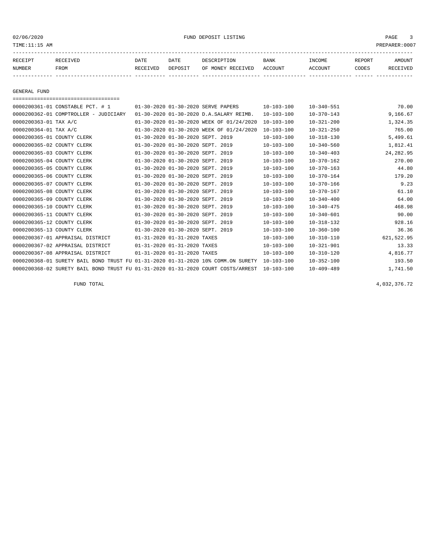02/06/2020 FUND DEPOSIT LISTING PAGE 3

| RECEIPT | <b>RECEIVED</b> | DATE     | DATE    | DESCRIPTION       | <b>BANK</b> | INCOME  | REPORT | <b>AMOUNT</b>   |
|---------|-----------------|----------|---------|-------------------|-------------|---------|--------|-----------------|
| NUMBER  | FROM            | RECEIVED | DEPOSIT | OF MONEY RECEIVED | ACCOUNT     | ACCOUNT | CODES  | <b>RECEIVED</b> |
|         |                 |          |         |                   |             |         |        |                 |

GENERAL FUND

| ====================================                                             |                                  |                                          |                  |                  |            |
|----------------------------------------------------------------------------------|----------------------------------|------------------------------------------|------------------|------------------|------------|
| 0000200361-01 CONSTABLE PCT. # 1                                                 |                                  | 01-30-2020 01-30-2020 SERVE PAPERS       | $10 - 103 - 100$ | $10 - 340 - 551$ | 70.00      |
| 0000200362-01 COMPTROLLER - JUDICIARY                                            |                                  | 01-30-2020 01-30-2020 D.A.SALARY REIMB.  | $10 - 103 - 100$ | $10 - 370 - 143$ | 9,166.67   |
| 0000200363-01 TAX A/C                                                            |                                  | 01-30-2020 01-30-2020 WEEK OF 01/24/2020 | $10 - 103 - 100$ | $10 - 321 - 200$ | 1,324.35   |
| 0000200364-01 TAX A/C                                                            |                                  | 01-30-2020 01-30-2020 WEEK OF 01/24/2020 | $10 - 103 - 100$ | $10 - 321 - 250$ | 765.00     |
| 0000200365-01 COUNTY CLERK                                                       | 01-30-2020 01-30-2020 SEPT. 2019 |                                          | $10 - 103 - 100$ | $10 - 318 - 130$ | 5,499.61   |
| 0000200365-02 COUNTY CLERK                                                       | 01-30-2020 01-30-2020 SEPT. 2019 |                                          | $10 - 103 - 100$ | $10 - 340 - 560$ | 1,812.41   |
| 0000200365-03 COUNTY CLERK                                                       | 01-30-2020 01-30-2020 SEPT. 2019 |                                          | $10 - 103 - 100$ | $10 - 340 - 403$ | 24, 282.95 |
| 0000200365-04 COUNTY CLERK                                                       | 01-30-2020 01-30-2020 SEPT. 2019 |                                          | $10 - 103 - 100$ | $10 - 370 - 162$ | 270.00     |
| 0000200365-05 COUNTY CLERK                                                       | 01-30-2020 01-30-2020 SEPT. 2019 |                                          | $10 - 103 - 100$ | $10 - 370 - 163$ | 44.80      |
| 0000200365-06 COUNTY CLERK                                                       | 01-30-2020 01-30-2020 SEPT. 2019 |                                          | $10 - 103 - 100$ | $10 - 370 - 164$ | 179.20     |
| 0000200365-07 COUNTY CLERK                                                       | 01-30-2020 01-30-2020 SEPT. 2019 |                                          | $10 - 103 - 100$ | $10 - 370 - 166$ | 9.23       |
| 0000200365-08 COUNTY CLERK                                                       | 01-30-2020 01-30-2020 SEPT. 2019 |                                          | $10 - 103 - 100$ | $10 - 370 - 167$ | 61.10      |
| 0000200365-09 COUNTY CLERK                                                       | 01-30-2020 01-30-2020 SEPT. 2019 |                                          | $10 - 103 - 100$ | $10 - 340 - 400$ | 64.00      |
| 0000200365-10 COUNTY CLERK                                                       | 01-30-2020 01-30-2020 SEPT. 2019 |                                          | $10 - 103 - 100$ | $10 - 340 - 475$ | 468.98     |
| 0000200365-11 COUNTY CLERK                                                       | 01-30-2020 01-30-2020 SEPT. 2019 |                                          | $10 - 103 - 100$ | $10 - 340 - 601$ | 90.00      |
| 0000200365-12 COUNTY CLERK                                                       | 01-30-2020 01-30-2020 SEPT. 2019 |                                          | $10 - 103 - 100$ | $10 - 318 - 132$ | 928.16     |
| 0000200365-13 COUNTY CLERK                                                       | 01-30-2020 01-30-2020 SEPT. 2019 |                                          | $10 - 103 - 100$ | $10 - 360 - 100$ | 36.36      |
| 0000200367-01 APPRAISAL DISTRICT                                                 | 01-31-2020 01-31-2020 TAXES      |                                          | $10 - 103 - 100$ | $10 - 310 - 110$ | 621,522.95 |
| 0000200367-02 APPRAISAL DISTRICT                                                 | 01-31-2020 01-31-2020 TAXES      |                                          | $10 - 103 - 100$ | $10 - 321 - 901$ | 13.33      |
| 0000200367-08 APPRAISAL DISTRICT                                                 | 01-31-2020 01-31-2020 TAXES      |                                          | $10 - 103 - 100$ | $10 - 310 - 120$ | 4,816.77   |
| 0000200368-01 SURETY BAIL BOND TRUST FU 01-31-2020 01-31-2020 10% COMM.ON SURETY |                                  |                                          | $10 - 103 - 100$ | $10 - 352 - 100$ | 193.50     |
| 0000200368-02 SURETY BAIL BOND TRUST FU 01-31-2020 01-31-2020 COURT COSTS/ARREST |                                  |                                          | $10 - 103 - 100$ | $10 - 409 - 489$ | 1,741.50   |

FUND TOTAL 4,032,376.72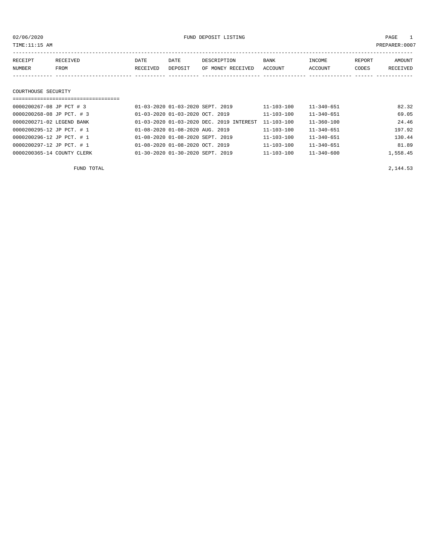02/06/2020 FUND DEPOSIT LISTING PAGE 1

| RECEIPT | RECEIVED | DATE     | DATE    | DESCRIPTION       | <b>BANK</b> | INCOME  | REPORT | <b>AMOUNT</b> |
|---------|----------|----------|---------|-------------------|-------------|---------|--------|---------------|
| NUMBER  | FROM     | RECEIVED | DEPOSIT | OF MONEY RECEIVED | ACCOUNT     | ACCOUNT | CODES  | RECEIVED      |
|         |          |          |         |                   |             |         |        |               |
|         |          |          |         |                   |             |         |        |               |

#### COURTHOUSE SECURITY

| ================================== |                                                |                  |                  |          |
|------------------------------------|------------------------------------------------|------------------|------------------|----------|
| 0000200267-08 JP PCT # 3           | 01-03-2020 01-03-2020 SEPT. 2019               | 11-103-100       | $11 - 340 - 651$ | 82.32    |
| 0000200268-08 JP PCT. # 3          | $01 - 03 - 2020$ $01 - 03 - 2020$ $0CT$ . 2019 | $11 - 103 - 100$ | $11 - 340 - 651$ | 69.05    |
| 0000200271-02 LEGEND BANK          | 01-03-2020 01-03-2020 DEC. 2019 INTEREST       | $11 - 103 - 100$ | $11 - 360 - 100$ | 24.46    |
| 0000200295-12 JP PCT. # 1          | 01-08-2020 01-08-2020 AUG. 2019                | $11 - 103 - 100$ | $11 - 340 - 651$ | 197.92   |
| 0000200296-12 JP PCT. # 1          | 01-08-2020 01-08-2020 SEPT. 2019               | $11 - 103 - 100$ | $11 - 340 - 651$ | 130.44   |
| 0000200297-12 JP PCT. # 1          | $01 - 08 - 2020$ $01 - 08 - 2020$ $0CT$ . 2019 | $11 - 103 - 100$ | $11 - 340 - 651$ | 81.89    |
| 0000200365-14 COUNTY CLERK         | 01-30-2020 01-30-2020 SEPT. 2019               | $11 - 103 - 100$ | $11 - 340 - 600$ | 1,558.45 |

FUND TOTAL  $2,144.53$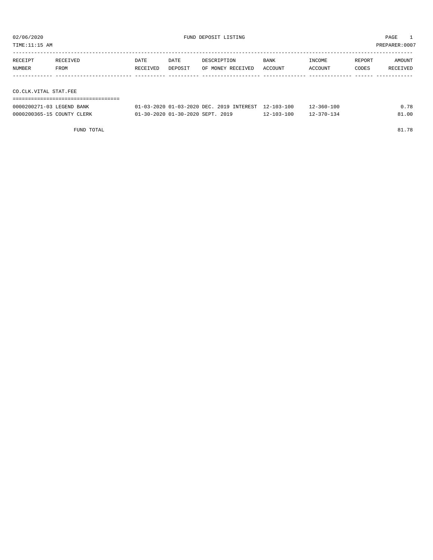TIME:11:15 AM PREPARER:0007

| RECEIPT | RECEIVED              | DATE     | DATE    | DESCRIPTION       | <b>BANK</b> | INCOME  | REPORT | AMOUNT   |  |  |  |  |
|---------|-----------------------|----------|---------|-------------------|-------------|---------|--------|----------|--|--|--|--|
| NUMBER  | FROM                  | RECEIVED | DEPOSIT | OF MONEY RECEIVED | ACCOUNT     | ACCOUNT | CODES  | RECEIVED |  |  |  |  |
|         |                       |          |         |                   |             |         |        |          |  |  |  |  |
|         |                       |          |         |                   |             |         |        |          |  |  |  |  |
|         | CO.CLK.VITAL STAT.FEE |          |         |                   |             |         |        |          |  |  |  |  |
|         |                       |          |         |                   |             |         |        |          |  |  |  |  |

| 0000200271-03 LEGEND BANK  | 01-03-2020 01-03-2020 DEC, 2019 INTEREST 12-103-100 |                  | $12 - 360 - 100$ | 0.78  |
|----------------------------|-----------------------------------------------------|------------------|------------------|-------|
| 0000200365-15 COUNTY CLERK | 01-30-2020 01-30-2020 SEPT. 2019                    | $12 - 103 - 100$ | $12 - 370 - 134$ | 91.00 |

FUND TOTAL 81.78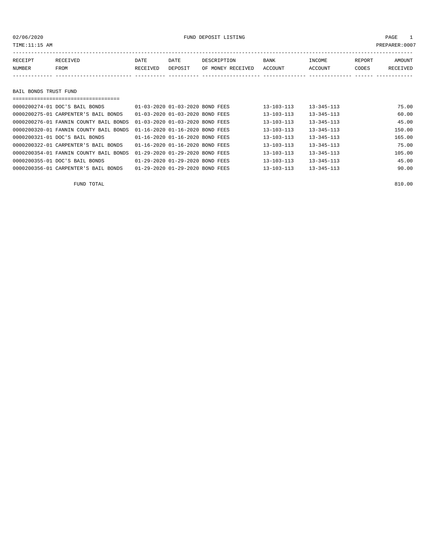### 02/06/2020 FUND DEPOSIT LISTING PAGE 1

| RECEIPT               | RECEIVED                       | DATE     | DATE                            | DESCRIPTION       | <b>BANK</b>      | INCOME           | REPORT | <b>AMOUNT</b> |
|-----------------------|--------------------------------|----------|---------------------------------|-------------------|------------------|------------------|--------|---------------|
| NUMBER                | FROM                           | RECEIVED | DEPOSIT                         | OF MONEY RECEIVED | ACCOUNT          | ACCOUNT          | CODES  | RECEIVED      |
|                       |                                |          |                                 |                   |                  |                  |        |               |
|                       |                                |          |                                 |                   |                  |                  |        |               |
| BAIL BONDS TRUST FUND |                                |          |                                 |                   |                  |                  |        |               |
|                       | ============================   |          |                                 |                   |                  |                  |        |               |
|                       | 0000200274-01 DOC'S BAIL BONDS |          | 01-03-2020 01-03-2020 BOND FEES |                   | $13 - 103 - 113$ | $13 - 345 - 113$ |        | 75.00         |

| 0000200275-01 CARPENTER'S BAIL BONDS   | 01-03-2020 01-03-2020 BOND FEES | $13 - 103 - 113$ | $13 - 345 - 113$ | 60.00  |
|----------------------------------------|---------------------------------|------------------|------------------|--------|
| 0000200276-01 FANNIN COUNTY BAIL BONDS | 01-03-2020 01-03-2020 BOND FEES | $13 - 103 - 113$ | $13 - 345 - 113$ | 45.00  |
| 0000200320-01 FANNIN COUNTY BAIL BONDS | 01-16-2020 01-16-2020 BOND FEES | $13 - 103 - 113$ | $13 - 345 - 113$ | 150.00 |
| 0000200321-01 DOC'S BAIL BONDS         | 01-16-2020 01-16-2020 BOND FEES | $13 - 103 - 113$ | $13 - 345 - 113$ | 165.00 |
| 0000200322-01 CARPENTER'S BAIL BONDS   | 01-16-2020 01-16-2020 BOND FEES | $13 - 103 - 113$ | $13 - 345 - 113$ | 75.00  |
| 0000200354-01 FANNIN COUNTY BAIL BONDS | 01-29-2020 01-29-2020 BOND FEES | $13 - 103 - 113$ | $13 - 345 - 113$ | 105.00 |
| 0000200355-01 DOC'S BAIL BONDS         | 01-29-2020 01-29-2020 BOND FEES | $13 - 103 - 113$ | $13 - 345 - 113$ | 45.00  |
| 0000200356-01 CARPENTER'S BAIL BONDS   | 01-29-2020 01-29-2020 BOND FEES | $13 - 103 - 113$ | $13 - 345 - 113$ | 90.00  |

FUND TOTAL 810.00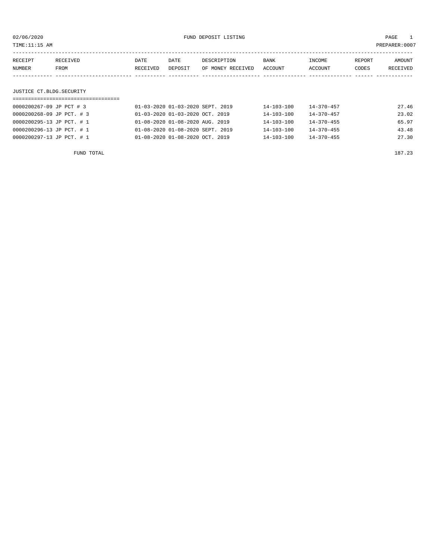| 02/06/2020                |            |          |                                 | FUND DEPOSIT LISTING             |                  |                  |        | PAGE<br>$\overline{1}$ |
|---------------------------|------------|----------|---------------------------------|----------------------------------|------------------|------------------|--------|------------------------|
| TIME:11:15 AM             |            |          |                                 |                                  |                  |                  |        | PREPARER:0007          |
|                           |            |          |                                 |                                  |                  |                  |        |                        |
| RECEIPT                   | RECEIVED   | DATE     | DATE                            | DESCRIPTION                      | BANK             | INCOME           | REPORT | AMOUNT                 |
| NUMBER                    | FROM       | RECEIVED | DEPOSIT                         | OF MONEY RECEIVED                | ACCOUNT          | ACCOUNT          | CODES  | RECEIVED               |
|                           |            |          |                                 |                                  |                  |                  |        |                        |
|                           |            |          |                                 |                                  |                  |                  |        |                        |
| JUSTICE CT.BLDG.SECURITY  |            |          |                                 |                                  |                  |                  |        |                        |
|                           |            |          |                                 |                                  |                  |                  |        |                        |
| 0000200267-09 JP PCT # 3  |            |          |                                 | 01-03-2020 01-03-2020 SEPT. 2019 | $14 - 103 - 100$ | $14 - 370 - 457$ |        | 27.46                  |
| 0000200268-09 JP PCT. # 3 |            |          | 01-03-2020 01-03-2020 OCT. 2019 |                                  | 14-103-100       | $14 - 370 - 457$ |        | 23.02                  |
| 0000200295-13 JP PCT. # 1 |            |          | 01-08-2020 01-08-2020 AUG.      | 2019                             | $14 - 103 - 100$ | $14 - 370 - 455$ |        | 65.97                  |
| 0000200296-13 JP PCT. # 1 |            |          |                                 | 01-08-2020 01-08-2020 SEPT. 2019 | $14 - 103 - 100$ | $14 - 370 - 455$ |        | 43.48                  |
| 0000200297-13 JP PCT. # 1 |            |          | 01-08-2020 01-08-2020 OCT. 2019 |                                  | $14 - 103 - 100$ | $14 - 370 - 455$ |        | 27.30                  |
|                           |            |          |                                 |                                  |                  |                  |        |                        |
|                           | FUND TOTAL |          |                                 |                                  |                  |                  |        | 187.23                 |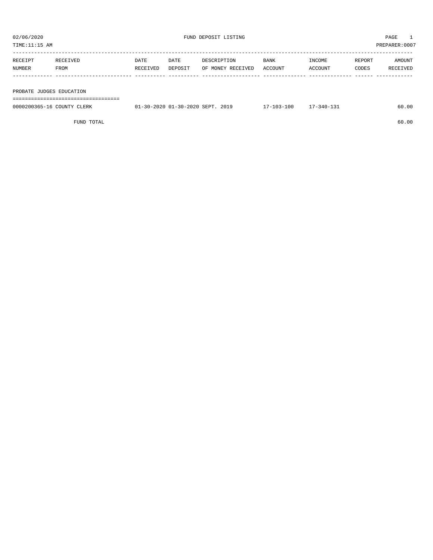| TIME:11:15 AM            | PREPARER:0007 |          |         |                   |         |         |        |          |
|--------------------------|---------------|----------|---------|-------------------|---------|---------|--------|----------|
|                          |               |          |         |                   |         |         |        |          |
| RECEIPT                  | RECEIVED      | DATE     | DATE    | DESCRIPTION       | BANK    | INCOME  | REPORT | AMOUNT   |
| NUMBER                   | FROM          | RECEIVED | DEPOSIT | OF MONEY RECEIVED | ACCOUNT | ACCOUNT | CODES  | RECEIVED |
|                          |               |          |         |                   |         |         |        |          |
|                          |               |          |         |                   |         |         |        |          |
| PROBATE JUDGES EDUCATION |               |          |         |                   |         |         |        |          |

===================================

| 0000200365-16 COUNTY CLERK | 01-30-2020 01-30-2020 SEPT. 2019 | 17-103-100 | 17-340-131 | 60.00 |
|----------------------------|----------------------------------|------------|------------|-------|
|                            |                                  |            |            |       |

FUND TOTAL 60.00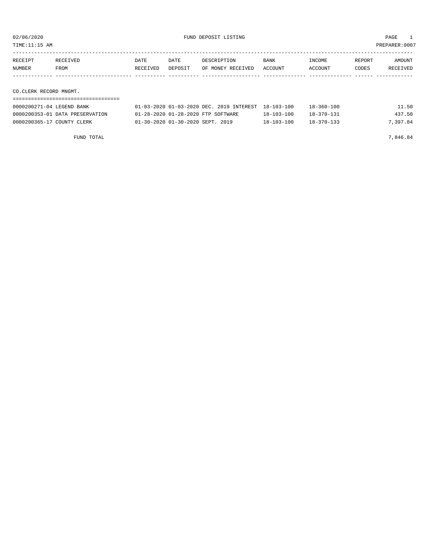TIME:11:15 AM PREPARER:0007

| RECEIPT | RECEIVED               | DATE     | DATE    | DESCRIPTION       | BANK    | INCOME  | REPORT | AMOUNT   |  |  |
|---------|------------------------|----------|---------|-------------------|---------|---------|--------|----------|--|--|
| NUMBER  | FROM                   | RECEIVED | DEPOSIT | OF MONEY RECEIVED | ACCOUNT | ACCOUNT | CODES  | RECEIVED |  |  |
|         |                        |          |         |                   |         |         |        |          |  |  |
|         |                        |          |         |                   |         |         |        |          |  |  |
|         | CO.CLERK RECORD MNGMT. |          |         |                   |         |         |        |          |  |  |
|         |                        |          |         |                   |         |         |        |          |  |  |

| 0000200271-04 LEGEND BANK       | 01-03-2020 01-03-2020 DEC. 2019 INTEREST 18-103-100 |                  | $18 - 360 - 100$ | 11.50    |
|---------------------------------|-----------------------------------------------------|------------------|------------------|----------|
| 0000200353-01 DATA PRESERVATION | 01-28-2020 01-28-2020 FTP SOFTWARE                  | $18 - 103 - 100$ | 18-370-131       | 437.50   |
| 0000200365-17 COUNTY CLERK      | 01-30-2020 01-30-2020 SEPT. 2019                    | $18 - 103 - 100$ | $18 - 370 - 133$ | 7,397.84 |

FUND TOTAL  $7,846.84$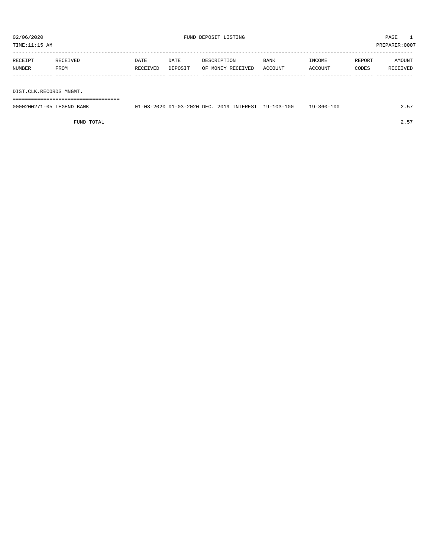TIME:11:15 AM PREPARER:0007

| RECEIPT | <b>RECEIVED</b> | DATE     | DATE    | DESCRIPTION       | <b>BANK</b> | INCOME  | REPORT | AMOUNT   |
|---------|-----------------|----------|---------|-------------------|-------------|---------|--------|----------|
| NUMBER  | FROM            | RECEIVED | DEPOSIT | OF MONEY RECEIVED | ACCOUNT     | ACCOUNT | CODES  | RECEIVED |
|         |                 |          |         |                   |             |         |        |          |

DIST.CLK.RECORDS MNGMT.

===================================

| 0000200271-05 LEGEND BANK | 01-03-2020 01-03-2020 DEC. 2019 INTEREST 19-103-100 |  | 19-360-100 | 2.57 |
|---------------------------|-----------------------------------------------------|--|------------|------|
|                           |                                                     |  |            |      |

FUND TOTAL  $2.57$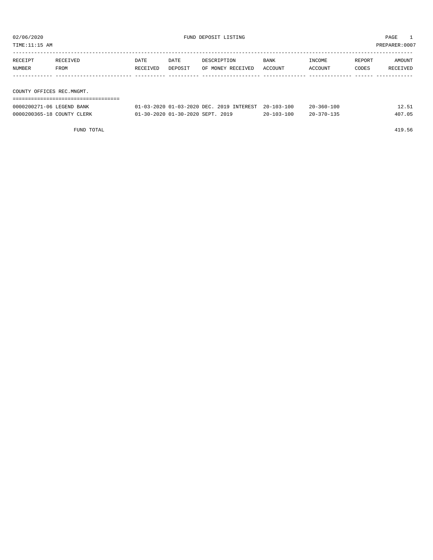| TIME:11:15 AM             | PREPARER: 0007 |          |         |                                          |            |                  |        |          |  |
|---------------------------|----------------|----------|---------|------------------------------------------|------------|------------------|--------|----------|--|
|                           |                |          |         |                                          |            |                  |        |          |  |
| RECEIPT                   | RECEIVED       | DATE     | DATE    | DESCRIPTION                              | BANK       | INCOME           | REPORT | AMOUNT   |  |
| NUMBER                    | FROM           | RECEIVED | DEPOSIT | OF MONEY RECEIVED                        | ACCOUNT    | ACCOUNT          | CODES  | RECEIVED |  |
|                           |                |          |         |                                          |            |                  |        |          |  |
|                           |                |          |         |                                          |            |                  |        |          |  |
| COUNTY OFFICES REC.MNGMT. |                |          |         |                                          |            |                  |        |          |  |
|                           |                |          |         |                                          |            |                  |        |          |  |
| 0000200271-06 LEGEND BANK |                |          |         | 01-03-2020 01-03-2020 DEC. 2019 INTEREST | 20-103-100 | $20 - 360 - 100$ |        | 12.51    |  |

0000200365-18 COUNTY CLERK 01-30-2020 01-30-2020 SEPT. 2019 20-103-100 20-370-135 407.05

FUND TOTAL 419.56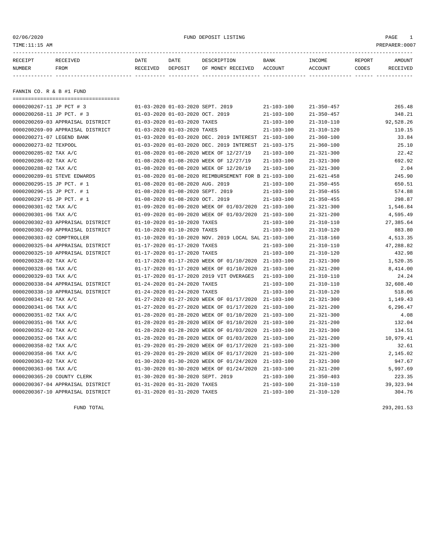### 02/06/2020 FUND DEPOSIT LISTING PAGE 1

| DATE<br>DATE<br>BANK<br>INCOME<br>DESCRIPTION<br>REPORT<br>RECEIPT<br>RECEIVED         | <b>AMOUNT</b> |
|----------------------------------------------------------------------------------------|---------------|
| OF MONEY RECEIVED ACCOUNT<br>ACCOUNT<br>NUMBER<br>DEPOSIT<br>FROM<br>RECEIVED<br>CODES | RECEIVED      |
|                                                                                        |               |

FANNIN CO. R & B #1 FUND

| ------------------------------------- |                                                      |                  |                  |            |
|---------------------------------------|------------------------------------------------------|------------------|------------------|------------|
| 0000200267-11 JP PCT # 3              | 01-03-2020 01-03-2020 SEPT. 2019                     | $21 - 103 - 100$ | $21 - 350 - 457$ | 265.48     |
| 0000200268-11 JP PCT. # 3             | 01-03-2020 01-03-2020 OCT. 2019                      | $21 - 103 - 100$ | $21 - 350 - 457$ | 348.21     |
| 0000200269-03 APPRAISAL DISTRICT      | 01-03-2020 01-03-2020 TAXES                          | $21 - 103 - 100$ | $21 - 310 - 110$ | 92,528.26  |
| 0000200269-09 APPRAISAL DISTRICT      | 01-03-2020 01-03-2020 TAXES                          | $21 - 103 - 100$ | $21 - 310 - 120$ | 110.15     |
| 0000200271-07 LEGEND BANK             | 01-03-2020 01-03-2020 DEC. 2019 INTEREST             | $21 - 103 - 100$ | $21 - 360 - 100$ | 33.84      |
| 0000200273-02 TEXPOOL                 | 01-03-2020 01-03-2020 DEC. 2019 INTEREST             | $21 - 103 - 175$ | $21 - 360 - 100$ | 25.10      |
| 0000200285-02 TAX A/C                 | 01-08-2020 01-08-2020 WEEK OF 12/27/19               | $21 - 103 - 100$ | $21 - 321 - 300$ | 22.42      |
| 0000200286-02 TAX A/C                 | 01-08-2020 01-08-2020 WEEK OF 12/27/19               | $21 - 103 - 100$ | $21 - 321 - 300$ | 692.92     |
| 0000200288-02 TAX A/C                 | 01-08-2020 01-08-2020 WEEK OF 12/20/19               | $21 - 103 - 100$ | $21 - 321 - 300$ | 2.04       |
| 0000200289-01 STEVE EDWARDS           | 01-08-2020 01-08-2020 REIMBURSEMENT FOR B 21-103-100 |                  | $21 - 621 - 458$ | 245.90     |
| 0000200295-15 JP PCT. # 1             | 01-08-2020 01-08-2020 AUG. 2019                      | $21 - 103 - 100$ | $21 - 350 - 455$ | 650.51     |
| 0000200296-15 JP PCT. # 1             | 01-08-2020 01-08-2020 SEPT. 2019                     | $21 - 103 - 100$ | $21 - 350 - 455$ | 574.88     |
| 0000200297-15 JP PCT. # 1             | 01-08-2020 01-08-2020 OCT. 2019                      | $21 - 103 - 100$ | $21 - 350 - 455$ | 298.87     |
| 0000200301-02 TAX A/C                 | 01-09-2020 01-09-2020 WEEK OF 01/03/2020 21-103-100  |                  | $21 - 321 - 300$ | 1,546.84   |
| 0000200301-06 TAX A/C                 | 01-09-2020 01-09-2020 WEEK OF 01/03/2020             | $21 - 103 - 100$ | $21 - 321 - 200$ | 4,595.49   |
| 0000200302-03 APPRAISAL DISTRICT      | 01-10-2020 01-10-2020 TAXES                          | $21 - 103 - 100$ | $21 - 310 - 110$ | 27,385.64  |
| 0000200302-09 APPRAISAL DISTRICT      | 01-10-2020 01-10-2020 TAXES                          | $21 - 103 - 100$ | $21 - 310 - 120$ | 883.80     |
| 0000200303-02 COMPTROLLER             | 01-10-2020 01-10-2020 NOV. 2019 LOCAL SAL 21-103-100 |                  | $21 - 318 - 160$ | 4,513.35   |
| 0000200325-04 APPRAISAL DISTRICT      | 01-17-2020 01-17-2020 TAXES                          | $21 - 103 - 100$ | $21 - 310 - 110$ | 47,288.82  |
| 0000200325-10 APPRAISAL DISTRICT      | 01-17-2020 01-17-2020 TAXES                          | $21 - 103 - 100$ | $21 - 310 - 120$ | 432.98     |
| 0000200328-02 TAX A/C                 | 01-17-2020 01-17-2020 WEEK OF 01/10/2020             | $21 - 103 - 100$ | $21 - 321 - 300$ | 1,520.35   |
| 0000200328-06 TAX A/C                 | 01-17-2020 01-17-2020 WEEK OF 01/10/2020             | $21 - 103 - 100$ | $21 - 321 - 200$ | 8,414.00   |
| 0000200329-03 TAX A/C                 | 01-17-2020 01-17-2020 2019 VIT OVERAGES              | $21 - 103 - 100$ | $21 - 310 - 110$ | 24.24      |
| 0000200338-04 APPRAISAL DISTRICT      | 01-24-2020 01-24-2020 TAXES                          | $21 - 103 - 100$ | $21 - 310 - 110$ | 32,608.40  |
| 0000200338-10 APPRAISAL DISTRICT      | 01-24-2020 01-24-2020 TAXES                          | $21 - 103 - 100$ | $21 - 310 - 120$ | 518.06     |
| 0000200341-02 TAX A/C                 | 01-27-2020 01-27-2020 WEEK OF 01/17/2020             | $21 - 103 - 100$ | $21 - 321 - 300$ | 1,149.43   |
| 0000200341-06 TAX A/C                 | 01-27-2020 01-27-2020 WEEK OF 01/17/2020             | $21 - 103 - 100$ | $21 - 321 - 200$ | 6,296.47   |
| 0000200351-02 TAX A/C                 | 01-28-2020 01-28-2020 WEEK OF 01/10/2020             | $21 - 103 - 100$ | $21 - 321 - 300$ | 4.08       |
| 0000200351-06 TAX A/C                 | 01-28-2020 01-28-2020 WEEK OF 01/10/2020             | $21 - 103 - 100$ | $21 - 321 - 200$ | 132.04     |
| 0000200352-02 TAX A/C                 | 01-28-2020 01-28-2020 WEEK OF 01/03/2020             | $21 - 103 - 100$ | $21 - 321 - 300$ | 134.51     |
| 0000200352-06 TAX A/C                 | 01-28-2020 01-28-2020 WEEK OF 01/03/2020             | $21 - 103 - 100$ | $21 - 321 - 200$ | 10,979.41  |
| 0000200358-02 TAX A/C                 | 01-29-2020 01-29-2020 WEEK OF 01/17/2020             | $21 - 103 - 100$ | $21 - 321 - 300$ | 32.61      |
| 0000200358-06 TAX A/C                 | 01-29-2020 01-29-2020 WEEK OF 01/17/2020             | $21 - 103 - 100$ | $21 - 321 - 200$ | 2,145.02   |
| 0000200363-02 TAX A/C                 | 01-30-2020 01-30-2020 WEEK OF 01/24/2020             | $21 - 103 - 100$ | $21 - 321 - 300$ | 947.67     |
| 0000200363-06 TAX A/C                 | 01-30-2020 01-30-2020 WEEK OF 01/24/2020             | $21 - 103 - 100$ | $21 - 321 - 200$ | 5,997.69   |
| 0000200365-20 COUNTY CLERK            | 01-30-2020 01-30-2020 SEPT. 2019                     | $21 - 103 - 100$ | $21 - 350 - 403$ | 223.35     |
| 0000200367-04 APPRAISAL DISTRICT      | 01-31-2020 01-31-2020 TAXES                          | $21 - 103 - 100$ | $21 - 310 - 110$ | 39, 323.94 |
| 0000200367-10 APPRAISAL DISTRICT      | 01-31-2020 01-31-2020 TAXES                          | $21 - 103 - 100$ | $21 - 310 - 120$ | 304.76     |

FUND TOTAL 293,201.53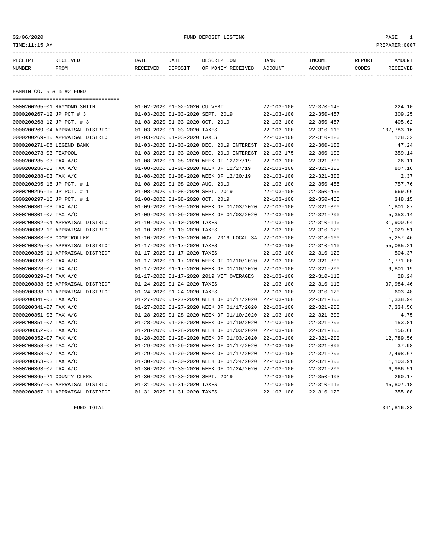| 02/06/2020<br>TIME:11:15 AM |                                      |                                  |                 | FUND DEPOSIT LISTING             |                  |                   |                 | PAGE<br>$\overline{1}$<br>PREPARER:0007 |
|-----------------------------|--------------------------------------|----------------------------------|-----------------|----------------------------------|------------------|-------------------|-----------------|-----------------------------------------|
| RECEIPT<br>NUMBER           | RECEIVED<br>FROM                     | DATE<br>RECEIVED                 | DATE<br>DEPOSIT | DESCRIPTION<br>OF MONEY RECEIVED | BANK<br>ACCOUNT  | INCOME<br>ACCOUNT | REPORT<br>CODES | AMOUNT<br>RECEIVED                      |
| FANNIN CO. R & B #2 FUND    |                                      |                                  |                 |                                  |                  |                   |                 |                                         |
|                             |                                      |                                  |                 |                                  |                  |                   |                 |                                         |
|                             | 0000200265-01 RAYMOND SMITH          | 01-02-2020 01-02-2020 CULVERT    |                 |                                  | $22 - 103 - 100$ | $22 - 370 - 145$  |                 | 224.10                                  |
| 0000200267-12 JP PCT # 3    |                                      | 01-03-2020 01-03-2020 SEPT. 2019 |                 |                                  | 22-103-100       | $22 - 350 - 457$  |                 | 309.25                                  |
| 0000200268-12 JP PCT. # 3   |                                      | 01-03-2020 01-03-2020 OCT. 2019  |                 |                                  | 22-103-100       | $22 - 350 - 457$  |                 | 405.62                                  |
|                             | 0000200269-04 APPRAISAL DISTRICT     | 01-03-2020 01-03-2020 TAXES      |                 |                                  | 22-103-100       | $22 - 310 - 110$  |                 | 107,783.16                              |
|                             | $0000200269 - 10$ Appratsal District | 01-03-2020 01-03-2020 TAXES      |                 |                                  | 22-103-100       | $22 - 310 - 120$  |                 | 12832                                   |

|                            | 0000200269-04 APPRAISAL DISTRICT | 01-03-2020 01-03-2020 TAXES      |                                                      | $22 - 103 - 100$ | $22 - 310 - 110$ | 107,783.16 |
|----------------------------|----------------------------------|----------------------------------|------------------------------------------------------|------------------|------------------|------------|
|                            | 0000200269-10 APPRAISAL DISTRICT | 01-03-2020 01-03-2020 TAXES      |                                                      | $22 - 103 - 100$ | $22 - 310 - 120$ | 128.32     |
| 0000200271-08 LEGEND BANK  |                                  |                                  | 01-03-2020 01-03-2020 DEC. 2019 INTEREST 22-103-100  |                  | $22 - 360 - 100$ | 47.24      |
| 0000200273-03 TEXPOOL      |                                  |                                  | 01-03-2020 01-03-2020 DEC. 2019 INTEREST             | 22-103-175       | $22 - 360 - 100$ | 359.14     |
| 0000200285-03 TAX A/C      |                                  |                                  | 01-08-2020 01-08-2020 WEEK OF 12/27/19               | $22 - 103 - 100$ | $22 - 321 - 300$ | 26.11      |
| 0000200286-03 TAX A/C      |                                  |                                  | 01-08-2020 01-08-2020 WEEK OF 12/27/19               | $22 - 103 - 100$ | $22 - 321 - 300$ | 807.16     |
| 0000200288-03 TAX A/C      |                                  |                                  | 01-08-2020 01-08-2020 WEEK OF 12/20/19               | $22 - 103 - 100$ | $22 - 321 - 300$ | 2.37       |
| 0000200295-16 JP PCT. # 1  |                                  | 01-08-2020 01-08-2020 AUG. 2019  |                                                      | $22 - 103 - 100$ | $22 - 350 - 455$ | 757.76     |
| 0000200296-16 JP PCT. # 1  |                                  | 01-08-2020 01-08-2020 SEPT. 2019 |                                                      | $22 - 103 - 100$ | $22 - 350 - 455$ | 669.66     |
| 0000200297-16 JP PCT. # 1  |                                  | 01-08-2020 01-08-2020 OCT. 2019  |                                                      | $22 - 103 - 100$ | $22 - 350 - 455$ | 348.15     |
| 0000200301-03 TAX A/C      |                                  |                                  | 01-09-2020 01-09-2020 WEEK OF 01/03/2020             | 22-103-100       | $22 - 321 - 300$ | 1,801.87   |
| 0000200301-07 TAX A/C      |                                  |                                  | 01-09-2020 01-09-2020 WEEK OF 01/03/2020             | $22 - 103 - 100$ | $22 - 321 - 200$ | 5,353.14   |
|                            | 0000200302-04 APPRAISAL DISTRICT | 01-10-2020 01-10-2020 TAXES      |                                                      | $22 - 103 - 100$ | $22 - 310 - 110$ | 31,900.64  |
|                            | 0000200302-10 APPRAISAL DISTRICT | 01-10-2020 01-10-2020 TAXES      |                                                      | $22 - 103 - 100$ | $22 - 310 - 120$ | 1,029.51   |
| 0000200303-03 COMPTROLLER  |                                  |                                  | 01-10-2020 01-10-2020 NOV. 2019 LOCAL SAL 22-103-100 |                  | $22 - 318 - 160$ | 5,257.46   |
|                            | 0000200325-05 APPRAISAL DISTRICT | 01-17-2020 01-17-2020 TAXES      |                                                      | $22 - 103 - 100$ | 22-310-110       | 55,085.21  |
|                            | 0000200325-11 APPRAISAL DISTRICT | 01-17-2020 01-17-2020 TAXES      |                                                      | $22 - 103 - 100$ | $22 - 310 - 120$ | 504.37     |
| 0000200328-03 TAX A/C      |                                  |                                  | 01-17-2020 01-17-2020 WEEK OF 01/10/2020 22-103-100  |                  | $22 - 321 - 300$ | 1,771.00   |
| 0000200328-07 TAX A/C      |                                  |                                  | 01-17-2020 01-17-2020 WEEK OF 01/10/2020             | $22 - 103 - 100$ | $22 - 321 - 200$ | 9,801.19   |
| 0000200329-04 TAX A/C      |                                  |                                  | 01-17-2020 01-17-2020 2019 VIT OVERAGES              | $22 - 103 - 100$ | $22 - 310 - 110$ | 28.24      |
|                            | 0000200338-05 APPRAISAL DISTRICT | 01-24-2020 01-24-2020 TAXES      |                                                      | $22 - 103 - 100$ | $22 - 310 - 110$ | 37,984.46  |
|                            | 0000200338-11 APPRAISAL DISTRICT | 01-24-2020 01-24-2020 TAXES      |                                                      | $22 - 103 - 100$ | $22 - 310 - 120$ | 603.48     |
| 0000200341-03 TAX A/C      |                                  |                                  | 01-27-2020 01-27-2020 WEEK OF 01/17/2020             | 22-103-100       | $22 - 321 - 300$ | 1,338.94   |
| 0000200341-07 TAX A/C      |                                  |                                  | 01-27-2020 01-27-2020 WEEK OF 01/17/2020             | $22 - 103 - 100$ | $22 - 321 - 200$ | 7,334.56   |
| 0000200351-03 TAX A/C      |                                  |                                  | 01-28-2020 01-28-2020 WEEK OF 01/10/2020             | $22 - 103 - 100$ | $22 - 321 - 300$ | 4.75       |
| 0000200351-07 TAX A/C      |                                  |                                  | 01-28-2020 01-28-2020 WEEK OF 01/10/2020             | 22-103-100       | $22 - 321 - 200$ | 153.81     |
| 0000200352-03 TAX A/C      |                                  |                                  | 01-28-2020 01-28-2020 WEEK OF 01/03/2020             | $22 - 103 - 100$ | $22 - 321 - 300$ | 156.68     |
| 0000200352-07 TAX A/C      |                                  |                                  | 01-28-2020 01-28-2020 WEEK OF 01/03/2020             | $22 - 103 - 100$ | $22 - 321 - 200$ | 12,789.56  |
| 0000200358-03 TAX A/C      |                                  |                                  | 01-29-2020 01-29-2020 WEEK OF 01/17/2020             | $22 - 103 - 100$ | $22 - 321 - 300$ | 37.98      |
| 0000200358-07 TAX A/C      |                                  |                                  | 01-29-2020 01-29-2020 WEEK OF 01/17/2020             | $22 - 103 - 100$ | $22 - 321 - 200$ | 2,498.67   |
| 0000200363-03 TAX A/C      |                                  |                                  | 01-30-2020 01-30-2020 WEEK OF 01/24/2020             | $22 - 103 - 100$ | $22 - 321 - 300$ | 1,103.91   |
| 0000200363-07 TAX A/C      |                                  |                                  | 01-30-2020 01-30-2020 WEEK OF 01/24/2020             | 22-103-100       | $22 - 321 - 200$ | 6,986.51   |
| 0000200365-21 COUNTY CLERK |                                  | 01-30-2020 01-30-2020 SEPT. 2019 |                                                      | $22 - 103 - 100$ | $22 - 350 - 403$ | 260.17     |
|                            | 0000200367-05 APPRAISAL DISTRICT | 01-31-2020 01-31-2020 TAXES      |                                                      | $22 - 103 - 100$ | $22 - 310 - 110$ | 45,807.18  |
|                            | 0000200367-11 APPRAISAL DISTRICT | 01-31-2020 01-31-2020 TAXES      |                                                      | $22 - 103 - 100$ | $22 - 310 - 120$ | 355.00     |
|                            |                                  |                                  |                                                      |                  |                  |            |

FUND TOTAL  $341,816.33$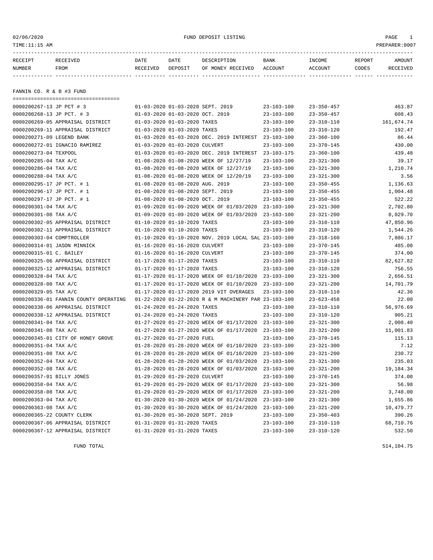### 02/06/2020 FUND DEPOSIT LISTING PAGE 1

| RECEIPT       | RECEIVED | DATE     | DATE    | DESCRIPTION               | <b>BANK</b> | INCOME  | REPORT | AMOUNT   |
|---------------|----------|----------|---------|---------------------------|-------------|---------|--------|----------|
| <b>NUMBER</b> | FROM     | RECEIVED | DEPOSIT | OF MONEY RECEIVED ACCOUNT |             | ACCOUNT | CODES  | RECEIVED |
|               |          |          |         |                           |             |         |        |          |
|               |          |          |         |                           |             |         |        |          |

FANNIN CO. R & B #3 FUND

| -----------------------------------   |                                                      |                  |                  |            |
|---------------------------------------|------------------------------------------------------|------------------|------------------|------------|
| 0000200267-13 JP PCT # 3              | 01-03-2020 01-03-2020 SEPT. 2019                     | $23 - 103 - 100$ | $23 - 350 - 457$ | 463.87     |
| 0000200268-13 JP PCT. # 3             | 01-03-2020 01-03-2020 OCT. 2019                      | $23 - 103 - 100$ | $23 - 350 - 457$ | 608.43     |
| 0000200269-05 APPRAISAL DISTRICT      | 01-03-2020 01-03-2020 TAXES                          | $23 - 103 - 100$ | $23 - 310 - 110$ | 161,674.74 |
| 0000200269-11 APPRAISAL DISTRICT      | 01-03-2020 01-03-2020 TAXES                          | $23 - 103 - 100$ | $23 - 310 - 120$ | 192.47     |
| 0000200271-09 LEGEND BANK             | 01-03-2020 01-03-2020 DEC. 2019 INTEREST             | $23 - 103 - 100$ | $23 - 360 - 100$ | 86.44      |
| 0000200272-01 IGNACIO RAMIREZ         | 01-03-2020 01-03-2020 CULVERT                        | $23 - 103 - 100$ | $23 - 370 - 145$ | 430.00     |
| 0000200273-04 TEXPOOL                 | 01-03-2020 01-03-2020 DEC. 2019 INTEREST             | 23-103-175       | $23 - 360 - 100$ | 439.48     |
| 0000200285-04 TAX A/C                 | 01-08-2020 01-08-2020 WEEK OF 12/27/19               | $23 - 103 - 100$ | $23 - 321 - 300$ | 39.17      |
| 0000200286-04 TAX A/C                 | 01-08-2020 01-08-2020 WEEK OF 12/27/19               | $23 - 103 - 100$ | $23 - 321 - 300$ | 1,210.74   |
| 0000200288-04 TAX A/C                 | 01-08-2020 01-08-2020 WEEK OF 12/20/19               | $23 - 103 - 100$ | $23 - 321 - 300$ | 3.56       |
| 0000200295-17 JP PCT. # 1             | 01-08-2020 01-08-2020 AUG. 2019                      | $23 - 103 - 100$ | $23 - 350 - 455$ | 1,136.63   |
| 0000200296-17 JP PCT. # 1             | 01-08-2020 01-08-2020 SEPT. 2019                     | $23 - 103 - 100$ | $23 - 350 - 455$ | 1,004.48   |
| 0000200297-17 JP PCT. # 1             | 01-08-2020 01-08-2020 OCT. 2019                      | $23 - 103 - 100$ | $23 - 350 - 455$ | 522.22     |
| 0000200301-04 TAX A/C                 | 01-09-2020 01-09-2020 WEEK OF 01/03/2020 23-103-100  |                  | $23 - 321 - 300$ | 2,702.80   |
| 0000200301-08 TAX A/C                 | 01-09-2020 01-09-2020 WEEK OF 01/03/2020             | 23-103-100       | $23 - 321 - 200$ | 8,029.70   |
| 0000200302-05 APPRAISAL DISTRICT      | 01-10-2020 01-10-2020 TAXES                          | $23 - 103 - 100$ | $23 - 310 - 110$ | 47,850.96  |
| 0000200302-11 APPRAISAL DISTRICT      | 01-10-2020 01-10-2020 TAXES                          | $23 - 103 - 100$ | $23 - 310 - 120$ | 1,544.26   |
| 0000200303-04 COMPTROLLER             | 01-10-2020 01-10-2020 NOV. 2019 LOCAL SAL 23-103-100 |                  | $23 - 318 - 160$ | 7,886.17   |
| 0000200314-01 JASON MINNICK           | 01-16-2020 01-16-2020 CULVERT                        | $23 - 103 - 100$ | $23 - 370 - 145$ | 485.00     |
| 0000200315-01 C. BAILEY               | 01-16-2020 01-16-2020 CULVERT                        | $23 - 103 - 100$ | $23 - 370 - 145$ | 374.00     |
| 0000200325-06 APPRAISAL DISTRICT      | 01-17-2020 01-17-2020 TAXES                          | $23 - 103 - 100$ | $23 - 310 - 110$ | 82,627.82  |
| 0000200325-12 APPRAISAL DISTRICT      | 01-17-2020 01-17-2020 TAXES                          | $23 - 103 - 100$ | $23 - 310 - 120$ | 756.55     |
| 0000200328-04 TAX A/C                 | 01-17-2020 01-17-2020 WEEK OF 01/10/2020             | 23-103-100       | $23 - 321 - 300$ | 2,656.51   |
| 0000200328-08 TAX A/C                 | 01-17-2020 01-17-2020 WEEK OF 01/10/2020             | $23 - 103 - 100$ | $23 - 321 - 200$ | 14,701.79  |
| 0000200329-05 TAX A/C                 | 01-17-2020 01-17-2020 2019 VIT OVERAGES              | $23 - 103 - 100$ | $23 - 310 - 110$ | 42.36      |
| 0000200336-01 FANNIN COUNTY OPERATING | 01-22-2020 01-22-2020 R & M MACHINERY PAR 23-103-100 |                  | $23 - 623 - 458$ | 22.00      |
| 0000200338-06 APPRAISAL DISTRICT      | 01-24-2020 01-24-2020 TAXES                          | $23 - 103 - 100$ | $23 - 310 - 110$ | 56,976.69  |
| 0000200338-12 APPRAISAL DISTRICT      | 01-24-2020 01-24-2020 TAXES                          | $23 - 103 - 100$ | $23 - 310 - 120$ | 905.21     |
| 0000200341-04 TAX A/C                 | 01-27-2020 01-27-2020 WEEK OF 01/17/2020 23-103-100  |                  | $23 - 321 - 300$ | 2,008.40   |
| 0000200341-08 TAX A/C                 | 01-27-2020 01-27-2020 WEEK OF 01/17/2020             | $23 - 103 - 100$ | $23 - 321 - 200$ | 11,001.83  |
| 0000200345-01 CITY OF HONEY GROVE     | 01-27-2020 01-27-2020 FUEL                           | $23 - 103 - 100$ | $23 - 370 - 145$ | 115.13     |
| 0000200351-04 TAX A/C                 | 01-28-2020 01-28-2020 WEEK OF 01/10/2020 23-103-100  |                  | $23 - 321 - 300$ | 7.12       |
| 0000200351-08 TAX A/C                 | 01-28-2020 01-28-2020 WEEK OF 01/10/2020             | $23 - 103 - 100$ | $23 - 321 - 200$ | 230.72     |
| 0000200352-04 TAX A/C                 | 01-28-2020 01-28-2020 WEEK OF 01/03/2020             | $23 - 103 - 100$ | $23 - 321 - 300$ | 235.03     |
| 0000200352-08 TAX A/C                 | 01-28-2020 01-28-2020 WEEK OF 01/03/2020             | $23 - 103 - 100$ | $23 - 321 - 200$ | 19,184.34  |
| 0000200357-01 BILLY JONES             | 01-29-2020 01-29-2020 CULVERT                        | $23 - 103 - 100$ | $23 - 370 - 145$ | 374.00     |
| 0000200358-04 TAX A/C                 | 01-29-2020 01-29-2020 WEEK OF 01/17/2020 23-103-100  |                  | $23 - 321 - 300$ | 56.98      |
| 0000200358-08 TAX A/C                 | 01-29-2020 01-29-2020 WEEK OF 01/17/2020             | $23 - 103 - 100$ | $23 - 321 - 200$ | 3,748.00   |
| 0000200363-04 TAX A/C                 | 01-30-2020 01-30-2020 WEEK OF 01/24/2020             | $23 - 103 - 100$ | $23 - 321 - 300$ | 1,655.86   |
| 0000200363-08 TAX A/C                 | 01-30-2020 01-30-2020 WEEK OF 01/24/2020             | $23 - 103 - 100$ | $23 - 321 - 200$ | 10,479.77  |
| 0000200365-22 COUNTY CLERK            | 01-30-2020 01-30-2020 SEPT. 2019                     | $23 - 103 - 100$ | $23 - 350 - 403$ | 390.26     |
| 0000200367-06 APPRAISAL DISTRICT      | 01-31-2020 01-31-2020 TAXES                          | $23 - 103 - 100$ | $23 - 310 - 110$ | 68,710.76  |
| 0000200367-12 APPRAISAL DISTRICT      | 01-31-2020 01-31-2020 TAXES                          | $23 - 103 - 100$ | $23 - 310 - 120$ | 532.50     |
|                                       |                                                      |                  |                  |            |

FUND TOTAL 514,104.75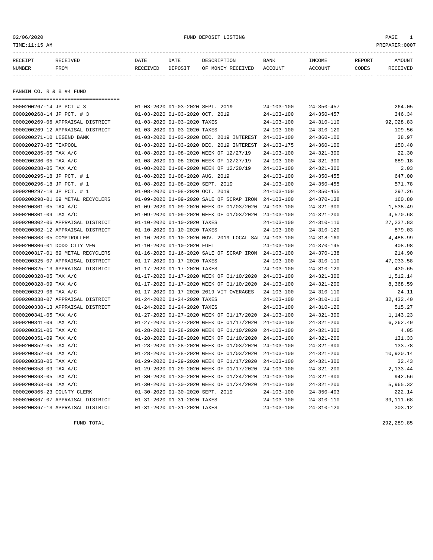### 02/06/2020 FUND DEPOSIT LISTING PAGE 1

| RECEIPT       | RECEIVED    | DATE     | DATE    | DESCRIPTION               | BANK | <b>TNCOME</b> | REPORT | <b>AMOUNT</b>   |
|---------------|-------------|----------|---------|---------------------------|------|---------------|--------|-----------------|
| <b>NUMBER</b> | <b>FROM</b> | RECEIVED | DEPOSIT | OF MONEY RECEIVED ACCOUNT |      | ACCOUNT       | CODES  | <b>RECEIVED</b> |
|               |             |          |         |                           |      |               |        |                 |

FANNIN CO. R & B #4 FUND

| ----------------------------------- |                                                      |                  |                  |             |
|-------------------------------------|------------------------------------------------------|------------------|------------------|-------------|
| 0000200267-14 JP PCT # 3            | 01-03-2020 01-03-2020 SEPT. 2019                     | $24 - 103 - 100$ | $24 - 350 - 457$ | 264.05      |
| 0000200268-14 JP PCT. # 3           | 01-03-2020 01-03-2020 OCT. 2019                      | $24 - 103 - 100$ | $24 - 350 - 457$ | 346.34      |
| 0000200269-06 APPRAISAL DISTRICT    | 01-03-2020 01-03-2020 TAXES                          | $24 - 103 - 100$ | $24 - 310 - 110$ | 92,028.83   |
| 0000200269-12 APPRAISAL DISTRICT    | 01-03-2020 01-03-2020 TAXES                          | $24 - 103 - 100$ | $24 - 310 - 120$ | 109.56      |
| 0000200271-10 LEGEND BANK           | 01-03-2020 01-03-2020 DEC. 2019 INTEREST             | $24 - 103 - 100$ | $24 - 360 - 100$ | 38.97       |
| 0000200273-05 TEXPOOL               | 01-03-2020 01-03-2020 DEC. 2019 INTEREST             | $24 - 103 - 175$ | $24 - 360 - 100$ | 150.40      |
| 0000200285-05 TAX A/C               | 01-08-2020 01-08-2020 WEEK OF 12/27/19               | $24 - 103 - 100$ | $24 - 321 - 300$ | 22.30       |
| 0000200286-05 TAX A/C               | 01-08-2020 01-08-2020 WEEK OF 12/27/19               | $24 - 103 - 100$ | $24 - 321 - 300$ | 689.18      |
| 0000200288-05 TAX A/C               | 01-08-2020 01-08-2020 WEEK OF 12/20/19               | $24 - 103 - 100$ | $24 - 321 - 300$ | 2.03        |
| 0000200295-18 JP PCT. # 1           | 01-08-2020 01-08-2020 AUG. 2019                      | $24 - 103 - 100$ | $24 - 350 - 455$ | 647.00      |
| 0000200296-18 JP PCT. # 1           | 01-08-2020 01-08-2020 SEPT. 2019                     | $24 - 103 - 100$ | $24 - 350 - 455$ | 571.78      |
| 0000200297-18 JP PCT. # 1           | 01-08-2020 01-08-2020 OCT. 2019                      | $24 - 103 - 100$ | $24 - 350 - 455$ | 297.26      |
| 0000200298-01 69 METAL RECYCLERS    | 01-09-2020 01-09-2020 SALE OF SCRAP IRON 24-103-100  |                  | $24 - 370 - 138$ | 160.80      |
| 0000200301-05 TAX A/C               | 01-09-2020 01-09-2020 WEEK OF 01/03/2020             | $24 - 103 - 100$ | $24 - 321 - 300$ | 1,538.49    |
| 0000200301-09 TAX A/C               | 01-09-2020 01-09-2020 WEEK OF 01/03/2020             | $24 - 103 - 100$ | $24 - 321 - 200$ | 4,570.68    |
| 0000200302-06 APPRAISAL DISTRICT    | 01-10-2020 01-10-2020 TAXES                          | $24 - 103 - 100$ | $24 - 310 - 110$ | 27, 237.83  |
| 0000200302-12 APPRAISAL DISTRICT    | 01-10-2020 01-10-2020 TAXES                          | $24 - 103 - 100$ | $24 - 310 - 120$ | 879.03      |
| 0000200303-05 COMPTROLLER           | 01-10-2020 01-10-2020 NOV. 2019 LOCAL SAL 24-103-100 |                  | $24 - 318 - 160$ | 4,488.99    |
| 0000200306-01 DODD CITY VFW         | 01-10-2020 01-10-2020 FUEL                           | $24 - 103 - 100$ | $24 - 370 - 145$ | 408.98      |
| 0000200317-01 69 METAL RECYCLERS    | 01-16-2020 01-16-2020 SALE OF SCRAP IRON 24-103-100  |                  | $24 - 370 - 138$ | 214.90      |
| 0000200325-07 APPRAISAL DISTRICT    | 01-17-2020 01-17-2020 TAXES                          | $24 - 103 - 100$ | $24 - 310 - 110$ | 47,033.58   |
| 0000200325-13 APPRAISAL DISTRICT    | 01-17-2020 01-17-2020 TAXES                          | $24 - 103 - 100$ | $24 - 310 - 120$ | 430.65      |
| 0000200328-05 TAX A/C               | 01-17-2020 01-17-2020 WEEK OF 01/10/2020 24-103-100  |                  | $24 - 321 - 300$ | 1,512.14    |
| 0000200328-09 TAX A/C               | 01-17-2020 01-17-2020 WEEK OF 01/10/2020             | 24-103-100       | $24 - 321 - 200$ | 8,368.59    |
| 0000200329-06 TAX A/C               | 01-17-2020 01-17-2020 2019 VIT OVERAGES              | $24 - 103 - 100$ | $24 - 310 - 110$ | 24.11       |
| 0000200338-07 APPRAISAL DISTRICT    | 01-24-2020 01-24-2020 TAXES                          | $24 - 103 - 100$ | $24 - 310 - 110$ | 32, 432.40  |
| 0000200338-13 APPRAISAL DISTRICT    | 01-24-2020 01-24-2020 TAXES                          | $24 - 103 - 100$ | $24 - 310 - 120$ | 515.27      |
| 0000200341-05 TAX A/C               | 01-27-2020 01-27-2020 WEEK OF 01/17/2020             | 24-103-100       | $24 - 321 - 300$ | 1,143.23    |
| 0000200341-09 TAX A/C               | 01-27-2020 01-27-2020 WEEK OF 01/17/2020             | $24 - 103 - 100$ | $24 - 321 - 200$ | 6,262.49    |
| 0000200351-05 TAX A/C               | 01-28-2020 01-28-2020 WEEK OF 01/10/2020             | $24 - 103 - 100$ | $24 - 321 - 300$ | 4.05        |
| 0000200351-09 TAX A/C               | 01-28-2020 01-28-2020 WEEK OF 01/10/2020             | $24 - 103 - 100$ | $24 - 321 - 200$ | 131.33      |
| 0000200352-05 TAX A/C               | 01-28-2020 01-28-2020 WEEK OF 01/03/2020             | $24 - 103 - 100$ | $24 - 321 - 300$ | 133.78      |
| 0000200352-09 TAX A/C               | 01-28-2020 01-28-2020 WEEK OF 01/03/2020             | $24 - 103 - 100$ | $24 - 321 - 200$ | 10,920.14   |
| 0000200358-05 TAX A/C               | 01-29-2020 01-29-2020 WEEK OF 01/17/2020             | $24 - 103 - 100$ | $24 - 321 - 300$ | 32.43       |
| 0000200358-09 TAX A/C               | 01-29-2020 01-29-2020 WEEK OF 01/17/2020             | 24-103-100       | $24 - 321 - 200$ | 2,133.44    |
| 0000200363-05 TAX A/C               | 01-30-2020 01-30-2020 WEEK OF 01/24/2020             | $24 - 103 - 100$ | $24 - 321 - 300$ | 942.56      |
| 0000200363-09 TAX A/C               | 01-30-2020 01-30-2020 WEEK OF 01/24/2020             | $24 - 103 - 100$ | $24 - 321 - 200$ | 5,965.32    |
| 0000200365-23 COUNTY CLERK          | 01-30-2020 01-30-2020 SEPT. 2019                     | $24 - 103 - 100$ | $24 - 350 - 403$ | 222.14      |
| 0000200367-07 APPRAISAL DISTRICT    | 01-31-2020 01-31-2020 TAXES                          | $24 - 103 - 100$ | $24 - 310 - 110$ | 39, 111, 68 |
| 0000200367-13 APPRAISAL DISTRICT    | 01-31-2020 01-31-2020 TAXES                          | $24 - 103 - 100$ | $24 - 310 - 120$ | 303.12      |

FUND TOTAL 292,289.85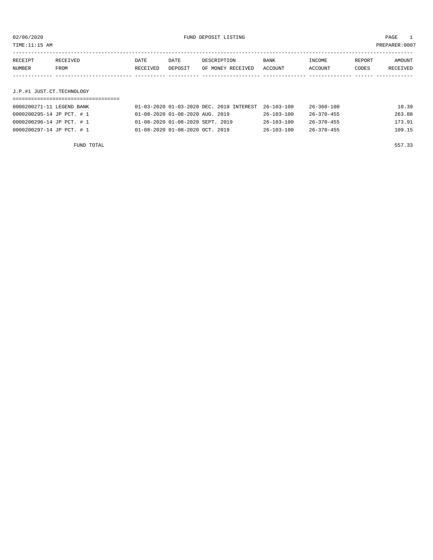TIME:11:15 AM PREPARER:0007

| RECEIVED | DATE     | DATE    | DESCRIPTION | BANK              | INCOME  | REPORT | AMOUNT   |
|----------|----------|---------|-------------|-------------------|---------|--------|----------|
| FROM     | RECEIVED | DEPOSIT |             |                   | ACCOUNT | CODES  | RECEIVED |
|          |          |         |             |                   |         |        |          |
|          |          |         |             |                   |         |        |          |
|          |          |         |             | OF MONEY RECEIVED | ACCOUNT |        |          |

## J.P.#1 JUST.CT.TECHNOLOGY

| 0000200271-11 LEGEND BANK | 01-03-2020 01-03-2020 DEC. 2019 INTEREST 26-103-100 |                  | 26-360-100       | 10.39  |
|---------------------------|-----------------------------------------------------|------------------|------------------|--------|
| 0000200295-14 JP PCT. # 1 | 01-08-2020 01-08-2020 AUG. 2019                     | $26 - 103 - 100$ | $26 - 370 - 455$ | 263.88 |
| 0000200296-14 JP PCT. # 1 | 01-08-2020 01-08-2020 SEPT. 2019                    | $26 - 103 - 100$ | $26 - 370 - 455$ | 173.91 |
| 0000200297-14 JP PCT. # 1 | 01-08-2020 01-08-2020 OCT. 2019                     | $26 - 103 - 100$ | $26 - 370 - 455$ | 109.15 |

FUND TOTAL 557.33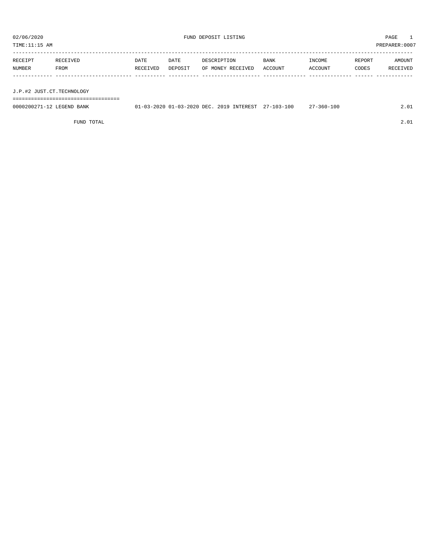| PREPARER: 0007<br>TIME:11:15 AM |                  |                         |                 |                                  |                        |                   |                 |                    |  |
|---------------------------------|------------------|-------------------------|-----------------|----------------------------------|------------------------|-------------------|-----------------|--------------------|--|
| RECEIPT<br>NUMBER               | RECEIVED<br>FROM | <b>DATE</b><br>RECEIVED | DATE<br>DEPOSIT | DESCRIPTION<br>OF MONEY RECEIVED | <b>BANK</b><br>ACCOUNT | INCOME<br>ACCOUNT | REPORT<br>CODES | AMOUNT<br>RECEIVED |  |
| J.P.#2 JUST.CT.TECHNOLOGY       |                  |                         |                 |                                  |                        |                   |                 |                    |  |

===================================

| 0000200271<br>LEGEND<br>BANK | $-03-2020$ DEC<br>2020 | 100<br>2019<br>INTEREST<br>$\sim$ $\sim$<br>$103 -$<br>$\sqrt{2}$ | $-100$<br>∴≾bU<br>$\lambda$ |  |
|------------------------------|------------------------|-------------------------------------------------------------------|-----------------------------|--|
|                              |                        |                                                                   |                             |  |

FUND TOTAL 2.01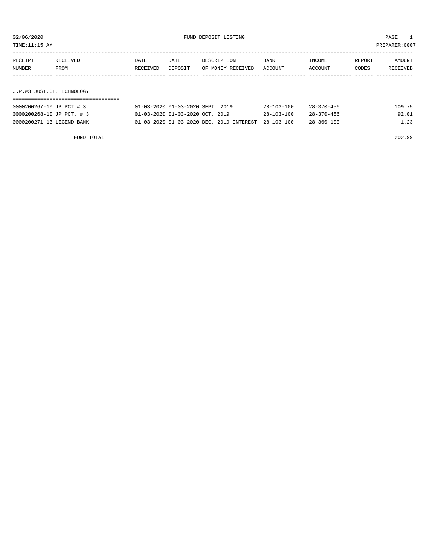TIME:11:15 AM PREPARER:0007

| RECEIPT | RECEIVED | DATE     | DATE    | DESCRIPTION       | BANK    | INCOME  | REPORT | AMOUNT   |
|---------|----------|----------|---------|-------------------|---------|---------|--------|----------|
| NUMBER  | FROM     | RECEIVED | DEPOSIT | OF MONEY RECEIVED | ACCOUNT | ACCOUNT | CODES  | RECEIVED |
|         |          |          |         |                   |         |         |        |          |
|         |          |          |         |                   |         |         |        |          |

## J.P.#3 JUST.CT.TECHNOLOGY

| 0000200267-10 JP PCT # 3  | 01-03-2020 01-03-2020 SEPT. 2019                    | 28-103-100       | $28 - 370 - 456$ | 109.75 |
|---------------------------|-----------------------------------------------------|------------------|------------------|--------|
| 0000200268-10 JP PCT. # 3 | 01-03-2020 01-03-2020 OCT. 2019                     | $28 - 103 - 100$ | $28 - 370 - 456$ | 92.01  |
| 0000200271-13 LEGEND BANK | 01-03-2020 01-03-2020 DEC. 2019 INTEREST 28-103-100 |                  | 28-360-100       | 1.23   |

FUND TOTAL 202.99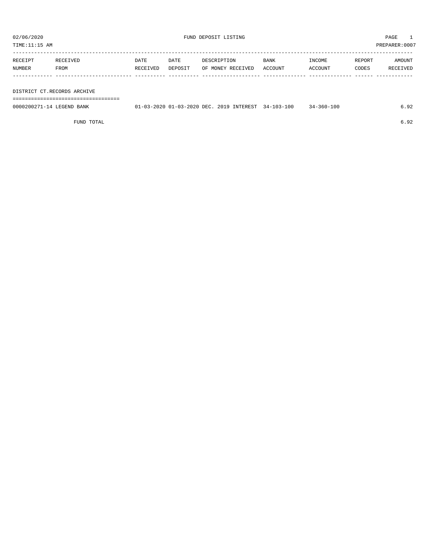TIME:11:15 AM PREPARER:0007

| RECEIPT | RECEIVED | DATE     | DATE    | DESCRIPTION       | <b>BANK</b> | INCOME         | REPORT | AMOUNT   |
|---------|----------|----------|---------|-------------------|-------------|----------------|--------|----------|
| NUMBER  | FROM     | RECEIVED | DEPOSIT | OF MONEY RECEIVED | ACCOUNT     | <b>ACCOUNT</b> | CODES  | RECEIVED |
|         |          |          |         |                   |             |                |        |          |

#### DISTRICT CT.RECORDS ARCHIVE

===================================

| 0000200271-14 LEGEND BANK | 01-03-2020 01-03-2020 DEC. 2019 INTEREST 34-103-100 |  | $34 - 360 - 100$ |  |
|---------------------------|-----------------------------------------------------|--|------------------|--|
|                           |                                                     |  |                  |  |

FUND TOTAL 6.92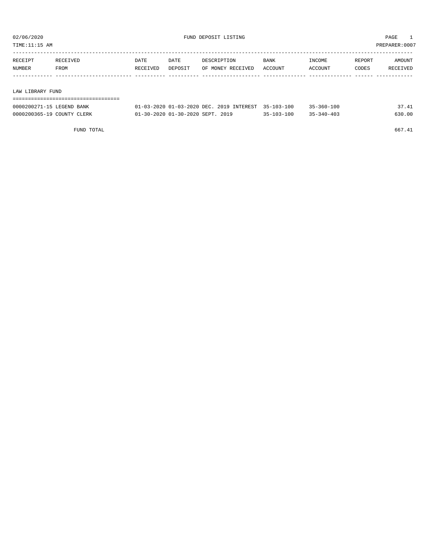TIME:11:15 AM PREPARER:0007

| RECEIPT | RECEIVED | DATE     | DATE    | DESCRIPTION       | BANK    | INCOME  | REPORT | AMOUNT   |
|---------|----------|----------|---------|-------------------|---------|---------|--------|----------|
| NUMBER  | FROM     | RECEIVED | DEPOSIT | OF MONEY RECEIVED | ACCOUNT | ACCOUNT | CODES  | RECEIVED |
|         |          |          |         |                   |         |         |        |          |
|         |          |          |         |                   |         |         |        |          |

#### LAW LIBRARY FUND

| ,,,,,,,,,,,,,,,,,,,,,,,,,,,,,, |                                                     |                  |                  |        |
|--------------------------------|-----------------------------------------------------|------------------|------------------|--------|
| 0000200271-15 LEGEND BANK      | 01-03-2020 01-03-2020 DEC. 2019 INTEREST 35-103-100 |                  | $35 - 360 - 100$ | 37.41  |
| 0000200365-19 COUNTY CLERK     | 01-30-2020 01-30-2020 SEPT. 2019                    | $35 - 103 - 100$ | $35 - 340 - 403$ | 630.00 |

FUND TOTAL 667.41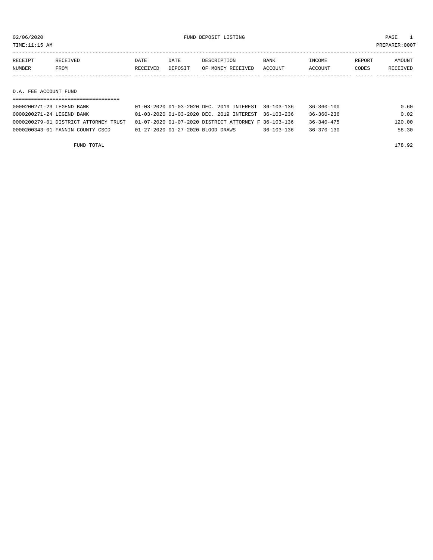TIME:11:15 AM PREPARER:0007

| RECEIPT | <b>RECEIVED</b> | DATE     | DATE    | DESCRIPTION       | <b>BANK</b> | INCOME  | REPORT | AMOUNT   |
|---------|-----------------|----------|---------|-------------------|-------------|---------|--------|----------|
| NUMBER  | <b>FROM</b>     | RECEIVED | DEPOSIT | OF MONEY RECEIVED | ACCOUNT     | ACCOUNT | CODES  | RECEIVED |
|         |                 |          |         |                   |             |         |        |          |
|         |                 |          |         |                   |             |         |        |          |

#### D.A. FEE ACCOUNT FUND

| 0000200271-23 LEGEND BANK             | 01-03-2020 01-03-2020 DEC. 2019 INTEREST 36-103-136  |                  | 36-360-100       | 0.60   |
|---------------------------------------|------------------------------------------------------|------------------|------------------|--------|
| 0000200271-24 LEGEND BANK             | 01-03-2020 01-03-2020 DEC. 2019 INTEREST 36-103-236  |                  | 36-360-236       | 0.02   |
| 0000200279-01 DISTRICT ATTORNEY TRUST | 01-07-2020 01-07-2020 DISTRICT ATTORNEY F 36-103-136 |                  | $36 - 340 - 475$ | 120.00 |
| 0000200343-01 FANNIN COUNTY CSCD      | 01-27-2020 01-27-2020 BLOOD DRAWS                    | $36 - 103 - 136$ | $36 - 370 - 130$ | 58.30  |

FUND TOTAL 178.92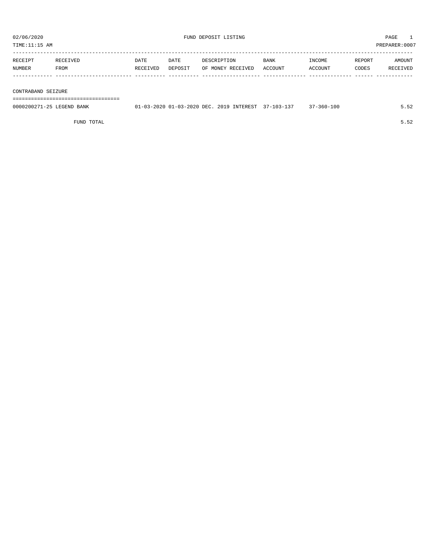TIME:11:15 AM PREPARER:0007

| RECEIPT | RECEIVED. | DATE     | DATE    | DESCRIPTION       | <b>BANK</b> | <b>TNCOME</b> | REPORT | AMOUNT          |
|---------|-----------|----------|---------|-------------------|-------------|---------------|--------|-----------------|
| NUMBER  | FROM      | RECEIVED | DEPOSIT | OF MONEY RECEIVED | ACCOUNT     | ACCOUNT       | CODES  | <b>RECEIVED</b> |
|         |           |          |         |                   |             |               |        |                 |

#### CONTRABAND SEIZURE

===================================

| 0000200271-25 LEGEND BANK | 01-03-2020 01-03-2020 DEC. 2019 INTEREST 37-103-137 |  | $37 - 360 - 100$ |  |
|---------------------------|-----------------------------------------------------|--|------------------|--|
|                           |                                                     |  |                  |  |

FUND TOTAL 5.52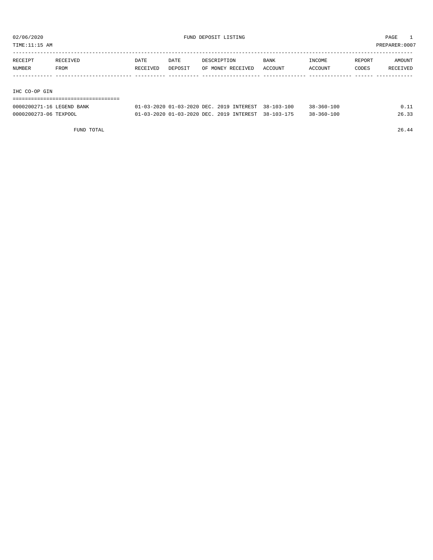TIME:11:15 AM PREPARER:0007

| RECEIPT | RECEIVED | DATE     | DATE    | DESCRIPTION       | BANK    | INCOME  | REPORT | AMOUNT   |
|---------|----------|----------|---------|-------------------|---------|---------|--------|----------|
| NUMBER  | FROM     | RECEIVED | DEPOSIT | OF MONEY RECEIVED | ACCOUNT | ACCOUNT | CODES  | RECEIVED |
|         |          |          |         |                   |         |         |        |          |
|         |          |          |         |                   |         |         |        |          |
|         |          |          |         |                   |         |         |        |          |

IHC CO-OP GIN

| -------------------------------------  |  |
|----------------------------------------|--|
| -------------------------------------- |  |

| 0000200271-16 LEGEND BANK | 01-03-2020 01-03-2020 DEC. 2019 INTEREST 38-103-100 |  | $38 - 360 - 100$ |       |
|---------------------------|-----------------------------------------------------|--|------------------|-------|
| 0000200273-06 TEXPOOL     | 01-03-2020 01-03-2020 DEC. 2019 INTEREST 38-103-175 |  | $38 - 360 - 100$ | 26.33 |

FUND TOTAL 26.44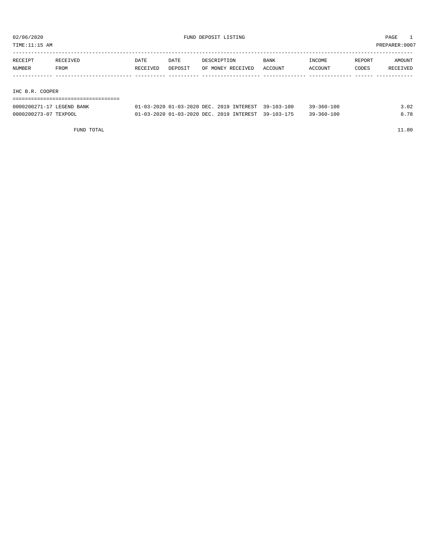TIME:11:15 AM PREPARER:0007

| RECEIPT                   | RECEIVED | DATE     | DATE    | DESCRIPTION       | <b>BANK</b> | INCOME  | REPORT | AMOUNT   |
|---------------------------|----------|----------|---------|-------------------|-------------|---------|--------|----------|
| NUMBER                    | FROM     | RECEIVED | DEPOSIT | OF MONEY RECEIVED | ACCOUNT     | ACCOUNT | CODES  | RECEIVED |
|                           |          |          |         |                   |             |         |        |          |
|                           |          |          |         |                   |             |         |        |          |
| C <sub>Q</sub><br>THA D D |          |          |         |                   |             |         |        |          |

IHC B.R. COOPER

|  |  |  |  |  |  |  | -------------------------------------  |  |  |  |  |  |  |  |  |  |  |
|--|--|--|--|--|--|--|----------------------------------------|--|--|--|--|--|--|--|--|--|--|
|  |  |  |  |  |  |  |                                        |  |  |  |  |  |  |  |  |  |  |
|  |  |  |  |  |  |  | -------------------------------------- |  |  |  |  |  |  |  |  |  |  |
|  |  |  |  |  |  |  |                                        |  |  |  |  |  |  |  |  |  |  |
|  |  |  |  |  |  |  |                                        |  |  |  |  |  |  |  |  |  |  |

| 0000200271-17 LEGEND BANK | 01-03-2020 01-03-2020 DEC. 2019 INTEREST 39-103-100 |  | $39 - 360 - 100$ | .02 |
|---------------------------|-----------------------------------------------------|--|------------------|-----|
| 0000200273-07 TEXPOOL     | 01-03-2020 01-03-2020 DEC. 2019 INTEREST 39-103-175 |  | $39 - 360 - 100$ | 78  |

FUND TOTAL 11.80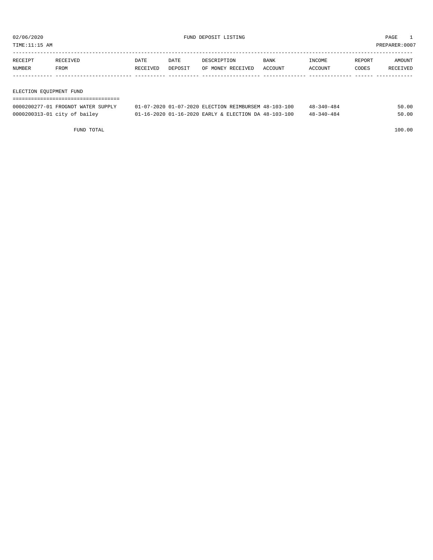TIME:11:15 AM PREPARER:0007

| <b>RECEIPT</b> | RECEIVED | DATE            | DATE    | DESCRIPTION       | <b>BANK</b>    | NCOME <sup>-</sup> | REPORT | AMOUNT          |
|----------------|----------|-----------------|---------|-------------------|----------------|--------------------|--------|-----------------|
| NUMBER         | FROM     | <b>RECEIVED</b> | DEPOSIT | OF MONEY RECEIVED | <b>ACCOUNT</b> | ACCOUNT            | CODES  | <b>RECEIVED</b> |
|                |          |                 |         |                   |                |                    |        |                 |

#### ELECTION EQUIPMENT FUND

| 0000200277-01 FROGNOT WATER SUPPLY | 01-07-2020 01-07-2020 ELECTION REIMBURSEM 48-103-100 |  | $48 - 340 - 484$ | 50.00 |
|------------------------------------|------------------------------------------------------|--|------------------|-------|
| 0000200313-01 city of bailey       | 01-16-2020 01-16-2020 EARLY & ELECTION DA 48-103-100 |  | $48 - 340 - 484$ | 50.00 |

FUND TOTAL 100.00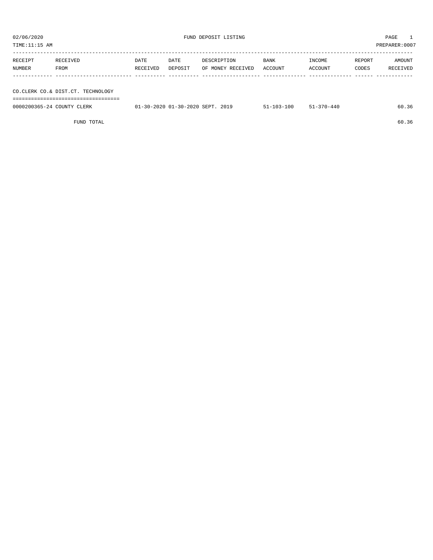| TIME:11:15 AM              |                                   |          |                                  |                   |                  |                  |        | PREPARER:0007 |
|----------------------------|-----------------------------------|----------|----------------------------------|-------------------|------------------|------------------|--------|---------------|
|                            |                                   |          |                                  |                   |                  |                  |        |               |
| RECEIPT                    | RECEIVED                          | DATE     | DATE                             | DESCRIPTION       | <b>BANK</b>      | INCOME           | REPORT | AMOUNT        |
| NUMBER                     | FROM                              | RECEIVED | DEPOSIT                          | OF MONEY RECEIVED | ACCOUNT          | ACCOUNT          | CODES  | RECEIVED      |
|                            |                                   |          |                                  |                   |                  |                  |        |               |
|                            |                                   |          |                                  |                   |                  |                  |        |               |
|                            | CO.CLERK CO.& DIST.CT. TECHNOLOGY |          |                                  |                   |                  |                  |        |               |
|                            | ,,,,,,,,,,,,,,,,,,,,,,,,,,,,,,    |          |                                  |                   |                  |                  |        |               |
| 0000200365-24 COUNTY CLERK |                                   |          | 01-30-2020 01-30-2020 SEPT. 2019 |                   | $51 - 103 - 100$ | $51 - 370 - 440$ |        | 60.36         |
|                            |                                   |          |                                  |                   |                  |                  |        |               |

FUND TOTAL 60.36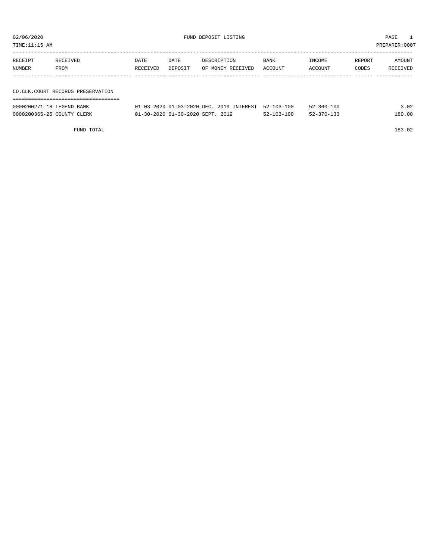| TIME:11:15 AM     |                                     |                  |                 |                                  |                 |                   |                 | PREPARER: 0007     |
|-------------------|-------------------------------------|------------------|-----------------|----------------------------------|-----------------|-------------------|-----------------|--------------------|
| RECEIPT<br>NUMBER | RECEIVED<br>FROM                    | DATE<br>RECEIVED | DATE<br>DEPOSIT | DESCRIPTION<br>OF MONEY RECEIVED | BANK<br>ACCOUNT | INCOME<br>ACCOUNT | REPORT<br>CODES | AMOUNT<br>RECEIVED |
|                   | CO. CLK. COURT RECORDS PRESERVATION |                  |                 |                                  |                 |                   |                 |                    |

| ---------------------------------- |                                                     |                  |                  |        |
|------------------------------------|-----------------------------------------------------|------------------|------------------|--------|
| 0000200271-18 LEGEND BANK          | 01-03-2020 01-03-2020 DEC. 2019 INTEREST 52-103-100 |                  | $52 - 360 - 100$ | 3.02   |
| 0000200365-25 COUNTY CLERK         | 01-30-2020 01-30-2020 SEPT. 2019                    | $52 - 103 - 100$ | $52 - 370 - 133$ | 180.00 |

FUND TOTAL 183.02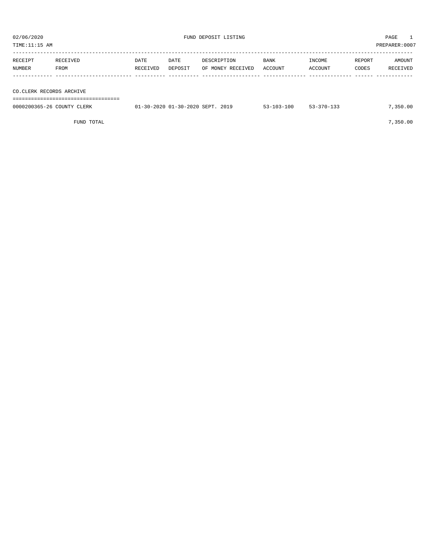| TIME:11:15 AM |                          |          |         |                   |             |         |        | PREPARER:0007 |  |
|---------------|--------------------------|----------|---------|-------------------|-------------|---------|--------|---------------|--|
|               |                          |          |         |                   |             |         |        |               |  |
| RECEIPT       | RECEIVED                 | DATE     | DATE    | DESCRIPTION       | <b>BANK</b> | INCOME  | REPORT | AMOUNT        |  |
| NUMBER        | FROM                     | RECEIVED | DEPOSIT | OF MONEY RECEIVED | ACCOUNT     | ACCOUNT | CODES  | RECEIVED      |  |
|               |                          |          |         |                   |             |         |        |               |  |
|               |                          |          |         |                   |             |         |        |               |  |
|               | CO.CLERK RECORDS ARCHIVE |          |         |                   |             |         |        |               |  |
|               |                          |          |         |                   |             |         |        |               |  |

| 0000200365-26 COUNTY CLERK | 01-30-2020 01-30-2020 SEPT. 2019 | $53 - 103 - 100$ | $53 - 370 - 133$ | 7,350.00 |
|----------------------------|----------------------------------|------------------|------------------|----------|
|                            |                                  |                  |                  |          |

FUND TOTAL  $7,350.00$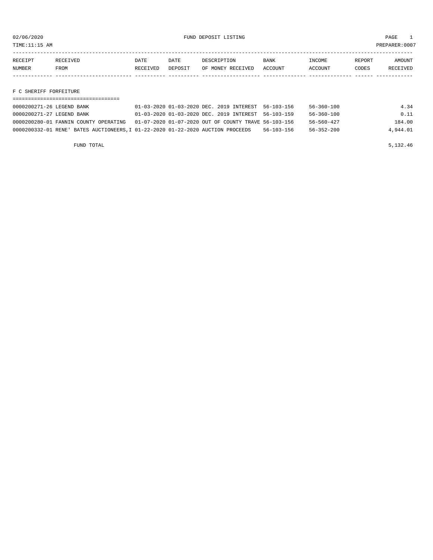TIME:11:15 AM PREPARER:0007

| <b>RECEIPT</b> | RECEIVED | DATE     | DATE    | DESCRIPTION       | <b>BANK</b>    | <b>INCOME</b> | REPORT | AMOUNT          |
|----------------|----------|----------|---------|-------------------|----------------|---------------|--------|-----------------|
| NUMBER         | FROM     | RECEIVED | DEPOSIT | OF MONEY RECEIVED | <b>ACCOUNT</b> | CCOUNT        | CODES  | <b>RECEIVED</b> |
|                |          |          |         |                   |                |               |        |                 |

F C SHERIFF FORFEITURE

| 0000200271-26 LEGEND BANK                                                       | 01-03-2020 01-03-2020 DEC. 2019 INTEREST 56-103-156  |            | 56-360-100       | 4.34     |
|---------------------------------------------------------------------------------|------------------------------------------------------|------------|------------------|----------|
| 0000200271-27 LEGEND BANK                                                       | 01-03-2020 01-03-2020 DEC. 2019 INTEREST 56-103-159  |            | $56 - 360 - 100$ | 0.11     |
| 0000200280-01 FANNIN COUNTY OPERATING                                           | 01-07-2020 01-07-2020 OUT OF COUNTY TRAVE 56-103-156 |            | 56-560-427       | 184.00   |
| 0000200332-01 RENE' BATES AUCTIONEERS, I 01-22-2020 01-22-2020 AUCTION PROCEEDS |                                                      | 56-103-156 | 56-352-200       | 4,944.01 |

FUND TOTAL  $5,132.46$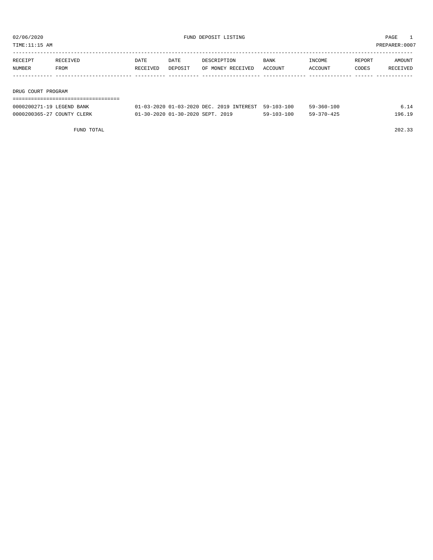| TIME:11:15 AM      |          |          |         |                   |             |         | PREPARER:0007 |          |
|--------------------|----------|----------|---------|-------------------|-------------|---------|---------------|----------|
|                    |          |          |         |                   |             |         |               |          |
| RECEIPT            | RECEIVED | DATE     | DATE    | DESCRIPTION       | <b>BANK</b> | INCOME  | REPORT        | AMOUNT   |
| NUMBER             | FROM     | RECEIVED | DEPOSIT | OF MONEY RECEIVED | ACCOUNT     | ACCOUNT | CODES         | RECEIVED |
|                    |          |          |         |                   |             |         |               |          |
|                    |          |          |         |                   |             |         |               |          |
| DRUG COURT PROGRAM |          |          |         |                   |             |         |               |          |
|                    |          |          |         |                   |             |         |               |          |

| 0000200271-19 LEGEND BANK  | 01-03-2020 01-03-2020 DEC. 2019 INTEREST 59-103-100 |                  | $59 - 360 - 100$ |        |
|----------------------------|-----------------------------------------------------|------------------|------------------|--------|
| 0000200365-27 COUNTY CLERK | 01-30-2020 01-30-2020 SEPT. 2019                    | $59 - 103 - 100$ | $59 - 370 - 425$ | 196.19 |

FUND TOTAL 202.33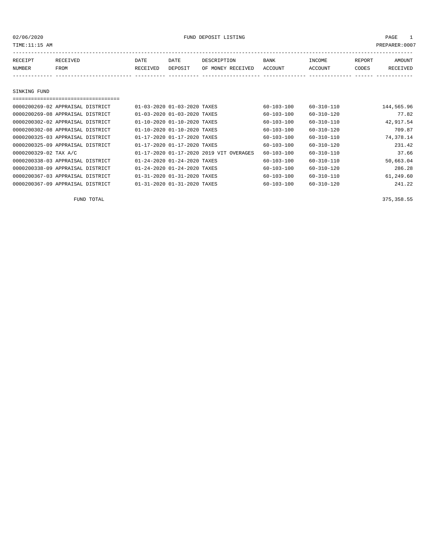02/06/2020 FUND DEPOSIT LISTING PAGE 1

| RECEIPT | RECEIVED | DATE     | DATE    | DESCRIPTION       | BANK    | INCOME  | REPORT | AMOUNT   |
|---------|----------|----------|---------|-------------------|---------|---------|--------|----------|
| NUMBER  | FROM     | RECEIVED | DEPOSIT | OF MONEY RECEIVED | ACCOUNT | ACCOUNT | CODES  | RECEIVED |
|         |          |          |         |                   |         |         |        |          |
|         |          |          |         |                   |         |         |        |          |

#### SINKING FUND

| 0000200269-02 APPRAISAL DISTRICT | 01-03-2020 01-03-2020 TAXES             | $60 - 103 - 100$ | $60 - 310 - 110$ | 144,565.96 |
|----------------------------------|-----------------------------------------|------------------|------------------|------------|
| 0000200269-08 APPRAISAL DISTRICT | 01-03-2020 01-03-2020 TAXES             | $60 - 103 - 100$ | $60 - 310 - 120$ | 77.82      |
| 0000200302-02 APPRAISAL DISTRICT | 01-10-2020 01-10-2020 TAXES             | 60-103-100       | $60 - 310 - 110$ | 42,917.54  |
| 0000200302-08 APPRAISAL DISTRICT | 01-10-2020 01-10-2020 TAXES             | 60-103-100       | 60-310-120       | 709.87     |
| 0000200325-03 APPRAISAL DISTRICT | 01-17-2020 01-17-2020 TAXES             | $60 - 103 - 100$ | $60 - 310 - 110$ | 74,378.14  |
| 0000200325-09 APPRAISAL DISTRICT | 01-17-2020 01-17-2020 TAXES             | $60 - 103 - 100$ | $60 - 310 - 120$ | 231.42     |
| 0000200329-02 TAX A/C            | 01-17-2020 01-17-2020 2019 VIT OVERAGES | $60 - 103 - 100$ | $60 - 310 - 110$ | 37.66      |
| 0000200338-03 APPRAISAL DISTRICT | 01-24-2020 01-24-2020 TAXES             | $60 - 103 - 100$ | $60 - 310 - 110$ | 50,663.04  |
| 0000200338-09 APPRAISAL DISTRICT | 01-24-2020 01-24-2020 TAXES             | $60 - 103 - 100$ | $60 - 310 - 120$ | 286.28     |
| 0000200367-03 APPRAISAL DISTRICT | 01-31-2020 01-31-2020 TAXES             | $60 - 103 - 100$ | $60 - 310 - 110$ | 61,249.60  |
| 0000200367-09 APPRAISAL DISTRICT | 01-31-2020 01-31-2020 TAXES             | $60 - 103 - 100$ | $60 - 310 - 120$ | 241.22     |

FUND TOTAL 375,358.55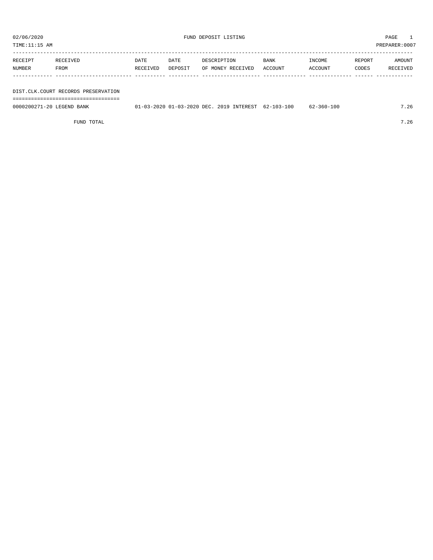TIME:11:15 AM PREPARER:0007 ----------------------------------------------------------------------------------------------------------------------------------- RECEIPT RECEIVED DATE DATE DESCRIPTION BANK INCOME REPORT AMOUNT NUMBER FROM RECEIVED DEPOSIT OF MONEY RECEIVED ACCOUNT ACCOUNT CODES RECEIVED ------------- ------------------------- ---------- ---------- ------------------- -------------- -------------- ------ ------------

DIST.CLK.COURT RECORDS PRESERVATION

===================================

0000200271-20 LEGEND BANK 01-03-2020 01-03-2020 DEC. 2019 INTEREST 62-103-100 62-360-100 7.26

FUND TOTAL  $7.26$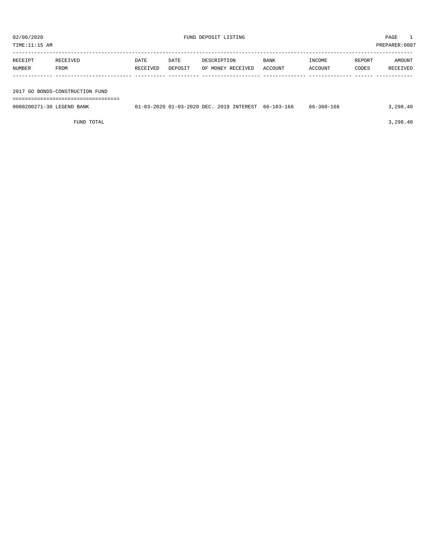| PREPARER: 0007<br>TIME:11:15 AM |                                 |                  |                 |                                  |                 |                   |                 |                    |  |
|---------------------------------|---------------------------------|------------------|-----------------|----------------------------------|-----------------|-------------------|-----------------|--------------------|--|
| RECEIPT<br>NUMBER               | RECEIVED<br>FROM                | DATE<br>RECEIVED | DATE<br>DEPOSIT | DESCRIPTION<br>OF MONEY RECEIVED | BANK<br>ACCOUNT | INCOME<br>ACCOUNT | REPORT<br>CODES | AMOUNT<br>RECEIVED |  |
|                                 | 2017 GO BONDS-CONSTRUCTION FUND |                  |                 |                                  |                 |                   |                 |                    |  |

===================================

| 0000200271-30 LEGEND BANK | 01-03-2020 01-03-2020 DEC. 2019 INTEREST 66-103-166 |  | 66-360-166 | 3,298.40 |
|---------------------------|-----------------------------------------------------|--|------------|----------|
|                           |                                                     |  |            |          |

FUND TOTAL  $3,298.40$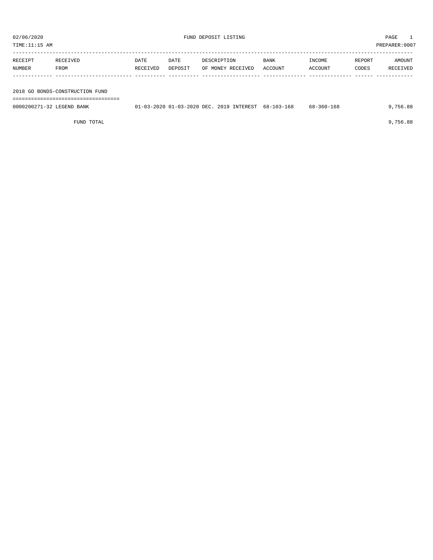TIME:11:15 AM PREPARER:0007

| RECEIPT | RECEIVED                        | DATE     | DATE    | DESCRIPTION       | <b>BANK</b> | INCOME  | REPORT | AMOUNT   |
|---------|---------------------------------|----------|---------|-------------------|-------------|---------|--------|----------|
| NUMBER  | FROM                            | RECEIVED | DEPOSIT | OF MONEY RECEIVED | ACCOUNT     | ACCOUNT | CODES  | RECEIVED |
|         |                                 |          |         |                   |             |         |        |          |
|         | 2018 GO BONDS-CONSTRUCTION FUND |          |         |                   |             |         |        |          |

===================================

0000200271-32 LEGEND BANK 01-03-2020 01-03-2020 DEC. 2019 INTEREST 68-103-168 68-360-168 9,756.88

FUND TOTAL 9,756.88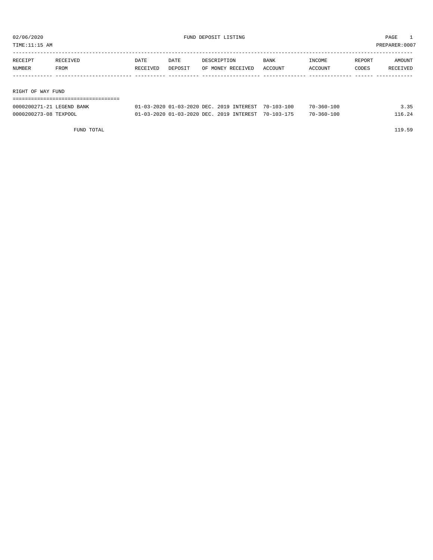TIME:11:15 AM PREPARER:0007

| RECEIPT | RECEIVED          | <b>DATE</b> | DATE    | DESCRIPTION       | <b>BANK</b> | INCOME  | REPORT | AMOUNT   |  |  |  |
|---------|-------------------|-------------|---------|-------------------|-------------|---------|--------|----------|--|--|--|
| NUMBER  | FROM              | RECEIVED    | DEPOSIT | OF MONEY RECEIVED | ACCOUNT     | ACCOUNT | CODES  | RECEIVED |  |  |  |
|         |                   |             |         |                   |             |         |        |          |  |  |  |
|         |                   |             |         |                   |             |         |        |          |  |  |  |
|         | RIGHT OF WAY FUND |             |         |                   |             |         |        |          |  |  |  |

| ------------------------- |                                                     |  |                  |        |
|---------------------------|-----------------------------------------------------|--|------------------|--------|
| 0000200271-21 LEGEND BANK | 01-03-2020 01-03-2020 DEC. 2019 INTEREST 70-103-100 |  | $70 - 360 - 100$ | 3.35   |
| 0000200273-08 TEXPOOL     | 01-03-2020 01-03-2020 DEC. 2019 INTEREST 70-103-175 |  | 70-360-100       | 116.24 |

FUND TOTAL 119.59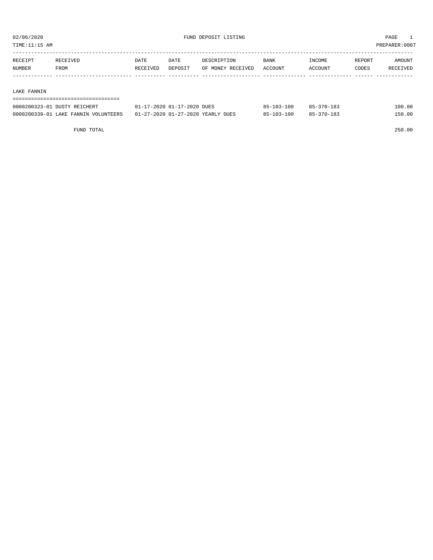TIME:11:15 AM PREPARER:0007

| RECEIPT | RECEIVED | DATE     | DATE    | DESCRIPTION       | <b>BANK</b> | INCOME  | REPORT | AMOUNT   |
|---------|----------|----------|---------|-------------------|-------------|---------|--------|----------|
| NUMBER  | FROM     | RECEIVED | DEPOSIT | OF MONEY RECEIVED | ACCOUNT     | ACCOUNT | CODES  | RECEIVED |
|         |          |          |         |                   |             |         |        |          |

#### LAKE FANNIN

===================================

| 0000200323-01 DUSTY REICHERT         | 01-17-2020 01-17-2020 DUES        | 85-103-100       | $85 - 370 - 183$ | 100.00 |
|--------------------------------------|-----------------------------------|------------------|------------------|--------|
| 0000200339-01 LAKE FANNIN VOLUNTEERS | 01-27-2020 01-27-2020 YEARLY DUES | -100<br>95-103-1 | $85 - 370 - 183$ | 150.00 |

FUND TOTAL 250.00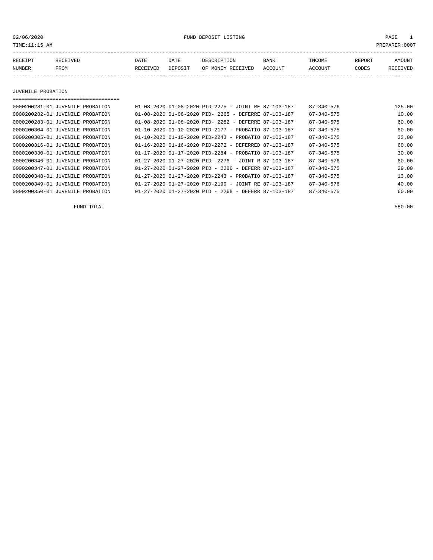02/06/2020 FUND DEPOSIT LISTING PAGE 1

| RECEIPT | <b>RECEIVED</b> | DATE     | DATE    | DESCRIPTION       | <b>BANK</b> | INCOME  | REPORT | AMOUNT          |
|---------|-----------------|----------|---------|-------------------|-------------|---------|--------|-----------------|
| NUMBER  | FROM            | RECEIVED | DEPOSIT | OF MONEY RECEIVED | ACCOUNT     | ACCOUNT | CODES  | <b>RECEIVED</b> |
|         |                 |          |         |                   |             |         |        |                 |

JUVENILE PROBATION

===================================

| 0000200281-01 JUVENILE PROBATION |  | $01-08-2020$ $01-08-2020$ $PID-2275$ - JOINT RE 87-103-187       |  | 87-340-576       | 125.00 |
|----------------------------------|--|------------------------------------------------------------------|--|------------------|--------|
| 0000200282-01 JUVENILE PROBATION |  | $01-08-2020$ $01-08-2020$ PID- 2265 - DEFERRE 87-103-187         |  | $87 - 340 - 575$ | 10.00  |
| 0000200283-01 JUVENILE PROBATION |  | $01-08-2020$ $01-08-2020$ PID- 2282 - DEFERRE 87-103-187         |  | $87 - 340 - 575$ | 60.00  |
| 0000200304-01 JUVENILE PROBATION |  | $01-10-2020$ $01-10-2020$ PID-2177 - PROBATIO 87-103-187         |  | $87 - 340 - 575$ | 60.00  |
| 0000200305-01 JUVENILE PROBATION |  | $01-10-2020$ $01-10-2020$ PID-2243 - PROBATIO 87-103-187         |  | $87 - 340 - 575$ | 33.00  |
| 0000200316-01 JUVENILE PROBATION |  | $01-16-2020$ $01-16-2020$ PID-2272 - DEFERRED 87-103-187         |  | $87 - 340 - 575$ | 60.00  |
| 0000200330-01 JUVENILE PROBATION |  | $01-17-2020$ $01-17-2020$ PID-2284 - PROBATIO 87-103-187         |  | $87 - 340 - 575$ | 30.00  |
| 0000200346-01 JUVENILE PROBATION |  | $01-27-2020$ $01-27-2020$ PID- 2276 - JOINT R 87-103-187         |  | $87 - 340 - 576$ | 60.00  |
| 0000200347-01 JUVENILE PROBATION |  | $01-27-2020$ $01-27-2020$ PID - 2286 - DEFERR 87-103-187         |  | $87 - 340 - 575$ | 29.00  |
| 0000200348-01 JUVENILE PROBATION |  | $01 - 27 - 2020$ $01 - 27 - 2020$ PID-2243 - PROBATIO 87-103-187 |  | $87 - 340 - 575$ | 13.00  |
| 0000200349-01 JUVENILE PROBATION |  | $01-27-2020$ $01-27-2020$ PID-2199 - JOINT RE 87-103-187         |  | $87 - 340 - 576$ | 40.00  |
| 0000200350-01 JUVENILE PROBATION |  | 01-27-2020 01-27-2020 PID - 2268 - DEFERR 87-103-187             |  | $87 - 340 - 575$ | 60.00  |

FUND TOTAL 580.00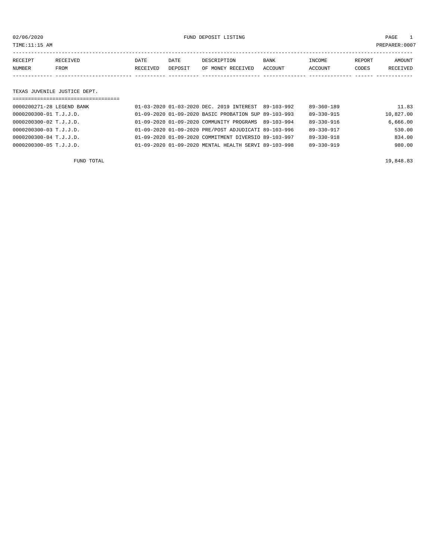02/06/2020 FUND DEPOSIT LISTING PAGE 1

| RECEIPT | <b>RECEIVED</b> | DATE     | DATE    | DESCRIPTION       | BANK    | INCOME  | REPORT | AMOUNT   |
|---------|-----------------|----------|---------|-------------------|---------|---------|--------|----------|
| NUMBER  | FROM            | RECEIVED | DEPOSIT | OF MONEY RECEIVED | ACCOUNT | ACCOUNT | CODES  | RECEIVED |
|         |                 |          |         |                   |         |         |        |          |

#### TEXAS JUVENILE JUSTICE DEPT.

| =================================== |  |                                                      |                  |           |
|-------------------------------------|--|------------------------------------------------------|------------------|-----------|
| 0000200271-28 LEGEND BANK           |  | 01-03-2020 01-03-2020 DEC. 2019 INTEREST 89-103-992  | $89 - 360 - 189$ | 11.83     |
| 0000200300-01 T.J.J.D.              |  | 01-09-2020 01-09-2020 BASIC PROBATION SUP 89-103-993 | 89-330-915       | 10,827.00 |
| 0000200300-02 T.J.J.D.              |  | 01-09-2020 01-09-2020 COMMUNITY PROGRAMS 89-103-994  | $89 - 330 - 916$ | 6,666.00  |
| 0000200300-03 T.J.J.D.              |  | 01-09-2020 01-09-2020 PRE/POST ADJUDICATI 89-103-996 | 89-330-917       | 530.00    |
| 0000200300-04 T.J.J.D.              |  | 01-09-2020 01-09-2020 COMMITMENT DIVERSIO 89-103-997 | 89-330-918       | 834.00    |
| 0000200300-05 T.J.J.D.              |  | 01-09-2020 01-09-2020 MENTAL HEALTH SERVI 89-103-998 | $89 - 330 - 919$ | 980.00    |
|                                     |  |                                                      |                  |           |

FUND TOTAL 19,848.83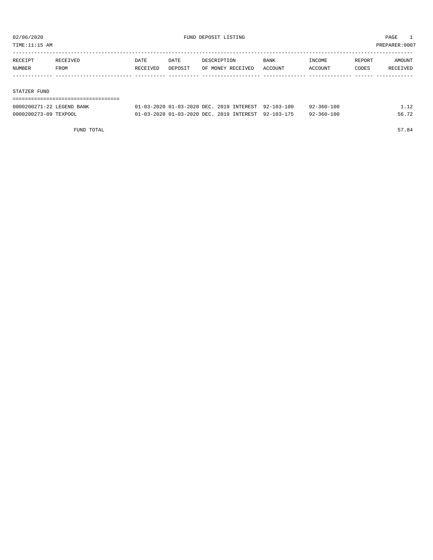TIME:11:15 AM PREPARER:0007

| RECEIPT | RECEIVED | DATE     | DATE    | DESCRIPTION       | BANK    | INCOME  | REPORT | AMOUNT   |
|---------|----------|----------|---------|-------------------|---------|---------|--------|----------|
| NUMBER  | FROM     | RECEIVED | DEPOSIT | OF MONEY RECEIVED | ACCOUNT | ACCOUNT | CODES  | RECEIVED |
|         |          |          |         |                   |         |         |        |          |
|         |          |          |         |                   |         |         |        |          |
|         |          |          |         |                   |         |         |        |          |

#### STATZER FUND

#### =================================== 0000200271-22 LEGEND BANK 01-03-2020 01-03-2020 DEC. 2019 INTEREST 92-103-100 92-360-100 1.12

| 0000200273-09 TEXPOOL |  | 01-03-2020 01-03-2020 DEC. 2019 INTEREST 92-103-175 |  | $92 - 360 - 100$ | 56.72 |
|-----------------------|--|-----------------------------------------------------|--|------------------|-------|
|-----------------------|--|-----------------------------------------------------|--|------------------|-------|

FUND TOTAL 57.84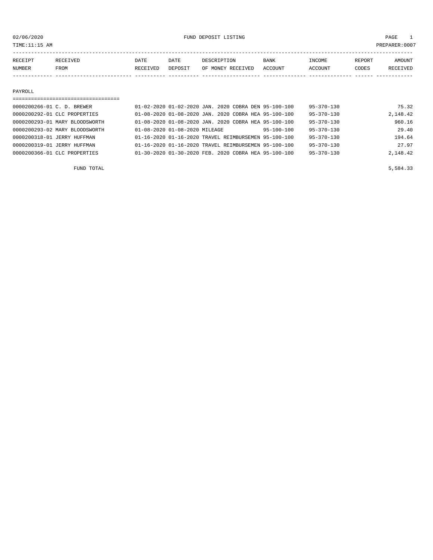TIME:11:15 AM PREPARER:0007

| RECEIPT | CEIVED      | DATE     | DATE    | DESCRIPTION       | <b>BANK</b> | <b>INCOME</b> | REPORT | AMOUNT          |
|---------|-------------|----------|---------|-------------------|-------------|---------------|--------|-----------------|
| NUMBER  | <b>FROM</b> | RECEIVED | DEPOSIT | OF MONEY RECEIVED | ACCOUNT     | ACCOUNT       | CODES  | <b>RECEIVED</b> |
|         |             |          |         |                   |             |               |        |                 |

#### PAYROLL

| 0000200266-01 C. D. BREWER     | 01-02-2020 01-02-2020 JAN. 2020 COBRA DEN 95-100-100     |                  | $95 - 370 - 130$ | 75.32    |
|--------------------------------|----------------------------------------------------------|------------------|------------------|----------|
| 0000200292-01 CLC PROPERTIES   | 01-08-2020 01-08-2020 JAN. 2020 COBRA HEA 95-100-100     |                  | $95 - 370 - 130$ | 2,148.42 |
| 0000200293-01 MARY BLOODSWORTH | 01-08-2020 01-08-2020 JAN. 2020 COBRA HEA 95-100-100     |                  | $95 - 370 - 130$ | 960.16   |
| 0000200293-02 MARY BLOODSWORTH | 01-08-2020 01-08-2020 MILEAGE                            | $95 - 100 - 100$ | $95 - 370 - 130$ | 29.40    |
| 0000200318-01 JERRY HUFFMAN    | 01-16-2020 01-16-2020 TRAVEL REIMBURSEMEN 95-100-100     |                  | $95 - 370 - 130$ | 194.64   |
| 0000200319-01 JERRY HUFFMAN    | 01-16-2020 01-16-2020 TRAVEL REIMBURSEMEN 95-100-100     |                  | $95 - 370 - 130$ | 27.97    |
| 0000200366-01 CLC PROPERTIES   | $01-30-2020$ $01-30-2020$ FEB. 2020 COBRA HEA 95-100-100 |                  | $95 - 370 - 130$ | 2,148.42 |

FUND TOTAL 5,584.33